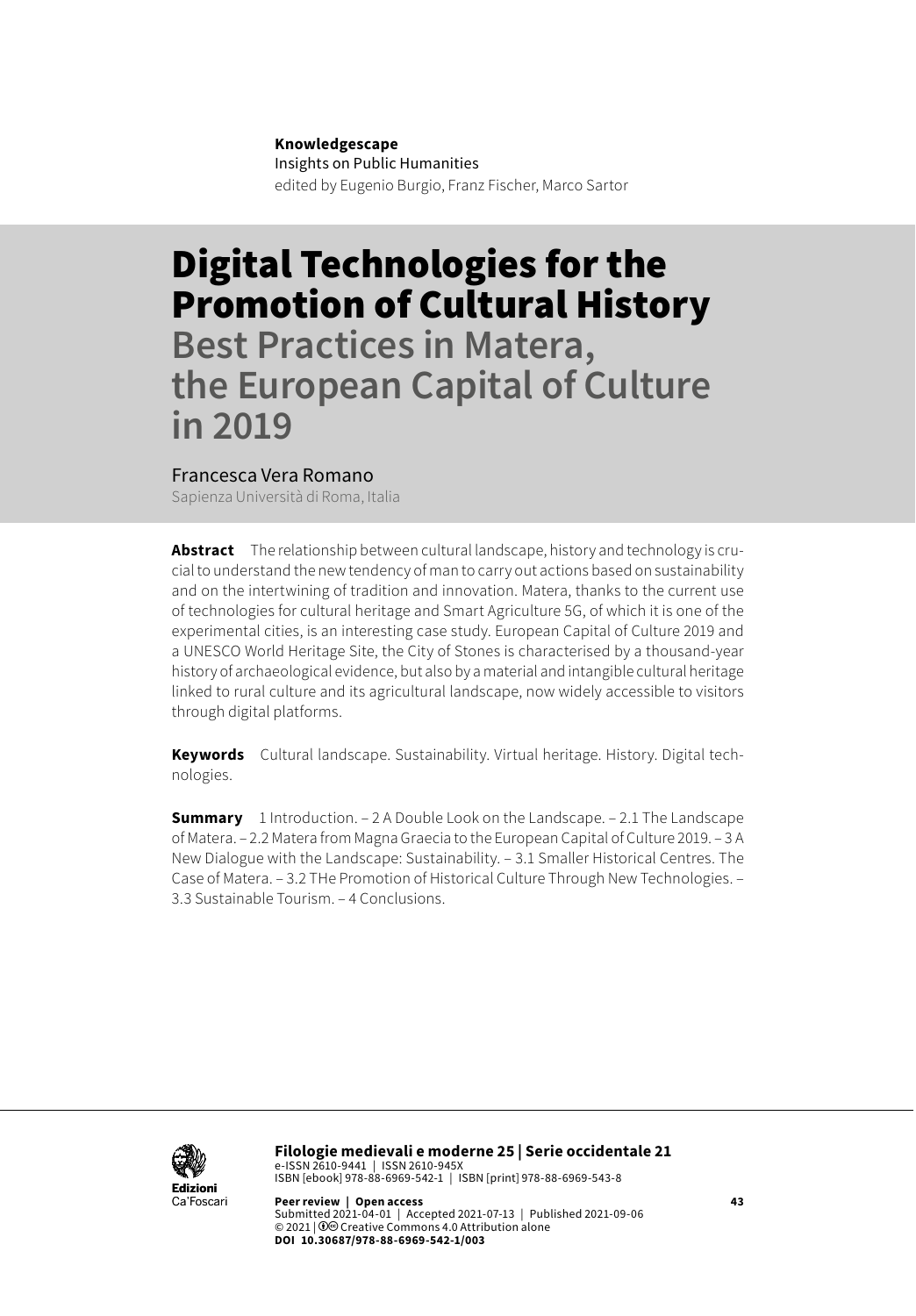#### **Knowledgescape**

Insights on Public Humanities edited by Eugenio Burgio, Franz Fischer, Marco Sartor

# Digital Technologies for the Promotion of Cultural History

**Best Practices in Matera, the European Capital of Culture in 2019**

#### Francesca Vera Romano

Sapienza Università di Roma, Italia

**Abstract** The relationship between cultural landscape, history and technology is crucial to understand the new tendency of man to carry out actions based on sustainability and on the intertwining of tradition and innovation. Matera, thanks to the current use of technologies for cultural heritage and Smart Agriculture 5G, of which it is one of the experimental cities, is an interesting case study. European Capital of Culture 2019 and a UNESCO World Heritage Site, the City of Stones is characterised by a thousand-year history of archaeological evidence, but also by a material and intangible cultural heritage linked to rural culture and its agricultural landscape, now widely accessible to visitors through digital platforms.

**Keywords** Cultural landscape. Sustainability. Virtual heritage. History. Digital technologies.

**Summary** 1 Introduction. – 2 A Double Look on the Landscape. – 2.1 The Landscape of Matera. – 2.2 Matera from Magna Graecia to the European Capital of Culture 2019. – 3 A New Dialogue with the Landscape: Sustainability. – 3.1 Smaller Historical Centres. The Case of Matera. – 3.2 THe Promotion of Historical Culture Through New Technologies. – 3.3 Sustainable Tourism. – 4 Conclusions.



**Filologie medievali e moderne 25 | Serie occidentale 21** e-ISSN 2610-9441 | ISSN 2610-945X ISBN [ebook] 978-88-6969-542-1 | ISBN [print] 978-88-6969-543-8

**Peer review | Open access 43** Submitted 2021-04-01 | Accepted 2021-07-13 | Published 2021-09-06 © 2021 | 0<sup>o</sup> Creative Commons 4.0 Attribution alone **DOI 10.30687/978-88-6969-542-1/003**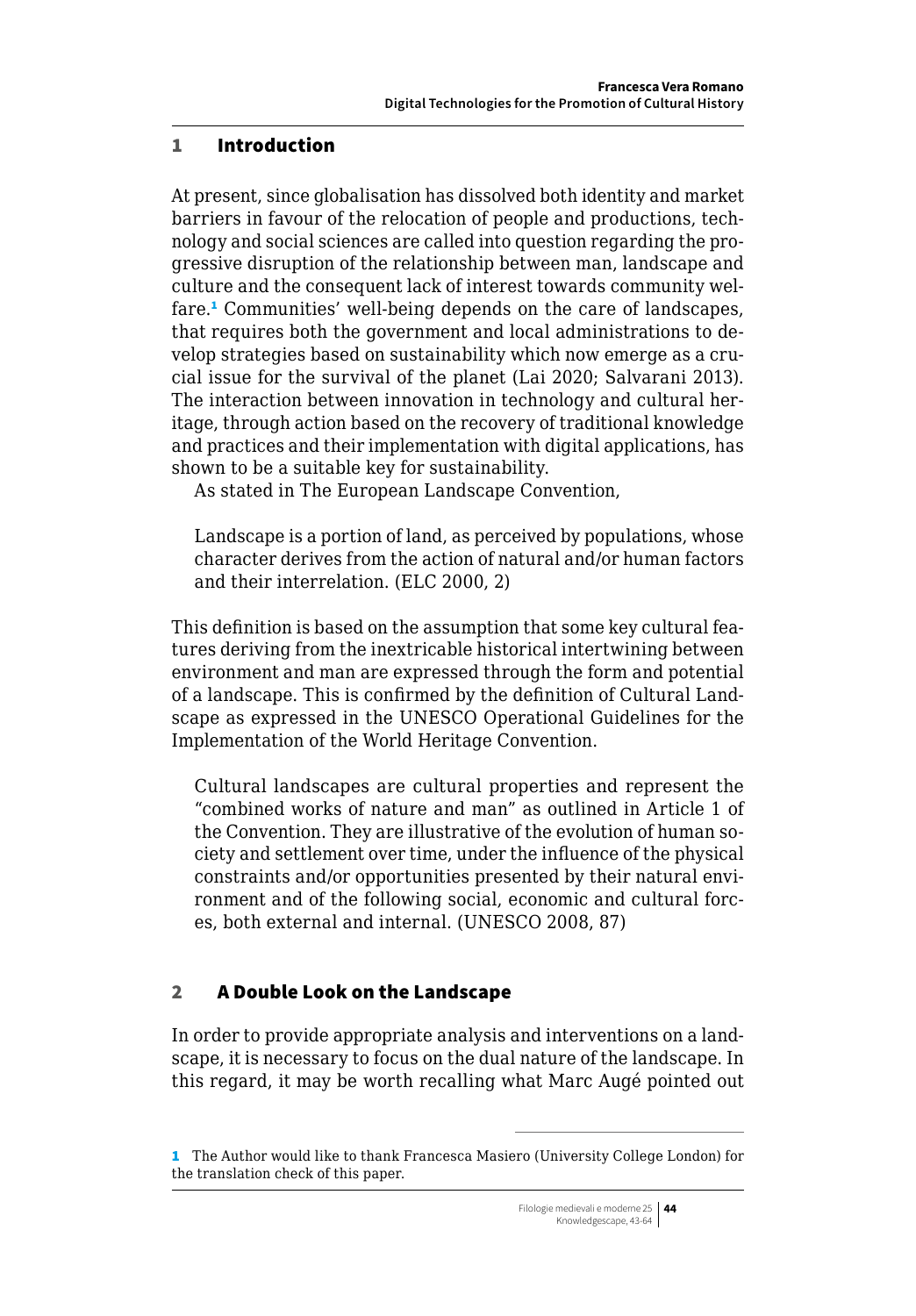#### 1 Introduction

At present, since globalisation has dissolved both identity and market barriers in favour of the relocation of people and productions, technology and social sciences are called into question regarding the progressive disruption of the relationship between man, landscape and culture and the consequent lack of interest towards community welfare.<sup>1</sup> Communities' well-being depends on the care of landscapes, that requires both the government and local administrations to develop strategies based on sustainability which now emerge as a crucial issue for the survival of the planet (Lai 2020; Salvarani 2013). The interaction between innovation in technology and cultural heritage, through action based on the recovery of traditional knowledge and practices and their implementation with digital applications, has shown to be a suitable key for sustainability.

As stated in The European Landscape Convention,

Landscape is a portion of land, as perceived by populations, whose character derives from the action of natural and/or human factors and their interrelation. (ELC 2000, 2)

This definition is based on the assumption that some key cultural features deriving from the inextricable historical intertwining between environment and man are expressed through the form and potential of a landscape. This is confirmed by the definition of Cultural Landscape as expressed in the UNESCO Operational Guidelines for the Implementation of the World Heritage Convention.

Cultural landscapes are cultural properties and represent the "combined works of nature and man" as outlined in Article 1 of the Convention. They are illustrative of the evolution of human society and settlement over time, under the influence of the physical constraints and/or opportunities presented by their natural environment and of the following social, economic and cultural forces, both external and internal. (UNESCO 2008, 87)

# 2 A Double Look on the Landscape

In order to provide appropriate analysis and interventions on a landscape, it is necessary to focus on the dual nature of the landscape. In this regard, it may be worth recalling what Marc Augé pointed out

<sup>1</sup> The Author would like to thank Francesca Masiero (University College London) for the translation check of this paper.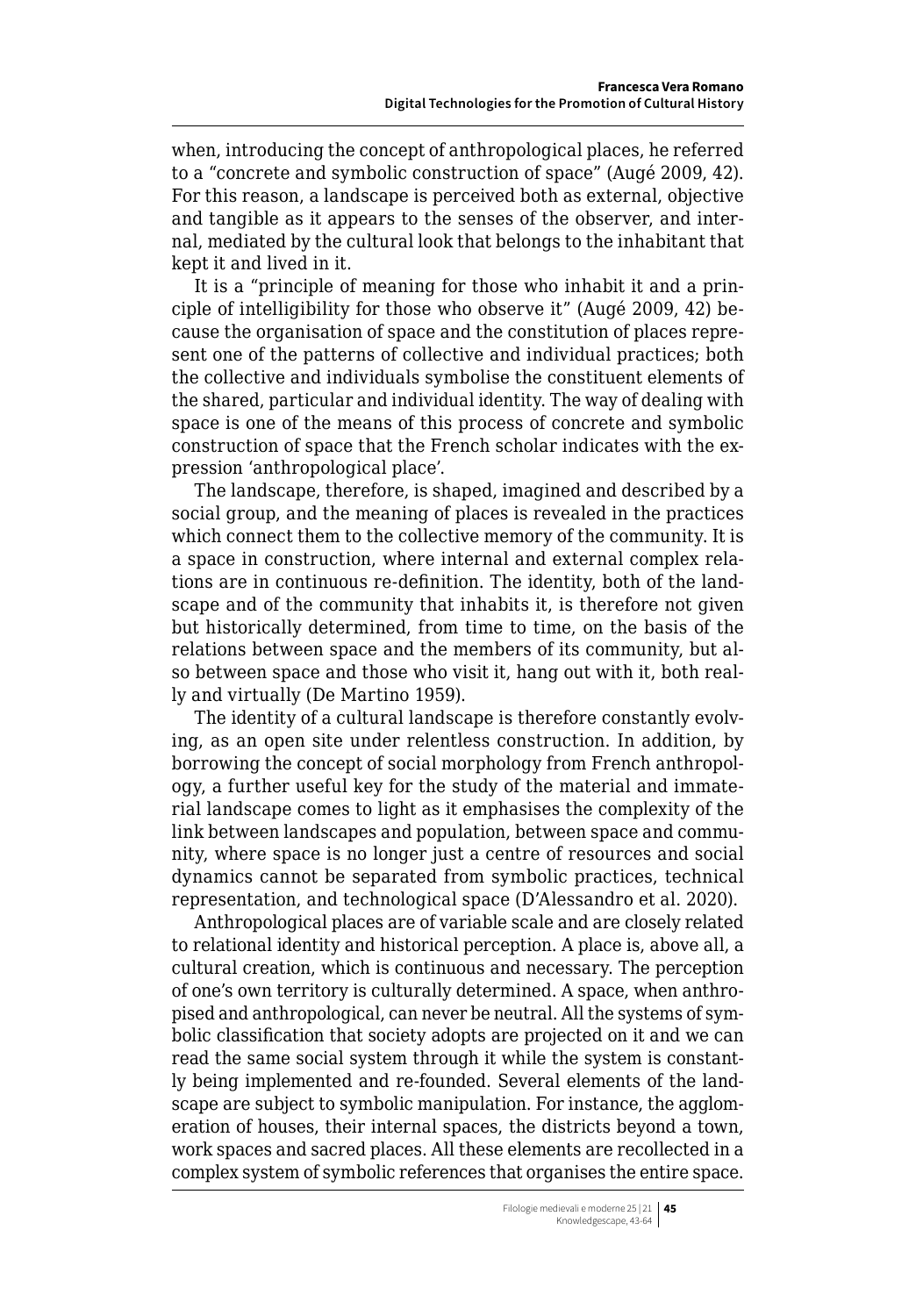when, introducing the concept of anthropological places, he referred to a "concrete and symbolic construction of space" (Augé 2009, 42). For this reason, a landscape is perceived both as external, objective and tangible as it appears to the senses of the observer, and internal, mediated by the cultural look that belongs to the inhabitant that kept it and lived in it.

It is a "principle of meaning for those who inhabit it and a principle of intelligibility for those who observe it" (Augé 2009, 42) because the organisation of space and the constitution of places represent one of the patterns of collective and individual practices; both the collective and individuals symbolise the constituent elements of the shared, particular and individual identity. The way of dealing with space is one of the means of this process of concrete and symbolic construction of space that the French scholar indicates with the expression 'anthropological place'.

The landscape, therefore, is shaped, imagined and described by a social group, and the meaning of places is revealed in the practices which connect them to the collective memory of the community. It is a space in construction, where internal and external complex relations are in continuous re-definition. The identity, both of the landscape and of the community that inhabits it, is therefore not given but historically determined, from time to time, on the basis of the relations between space and the members of its community, but also between space and those who visit it, hang out with it, both really and virtually (De Martino 1959).

The identity of a cultural landscape is therefore constantly evolving, as an open site under relentless construction. In addition, by borrowing the concept of social morphology from French anthropology, a further useful key for the study of the material and immaterial landscape comes to light as it emphasises the complexity of the link between landscapes and population, between space and community, where space is no longer just a centre of resources and social dynamics cannot be separated from symbolic practices, technical representation, and technological space (D'Alessandro et al. 2020).

Anthropological places are of variable scale and are closely related to relational identity and historical perception. A place is, above all, a cultural creation, which is continuous and necessary. The perception of one's own territory is culturally determined. A space, when anthropised and anthropological, can never be neutral. All the systems of symbolic classification that society adopts are projected on it and we can read the same social system through it while the system is constantly being implemented and re-founded. Several elements of the landscape are subject to symbolic manipulation. For instance, the agglomeration of houses, their internal spaces, the districts beyond a town, work spaces and sacred places. All these elements are recollected in a complex system of symbolic references that organises the entire space.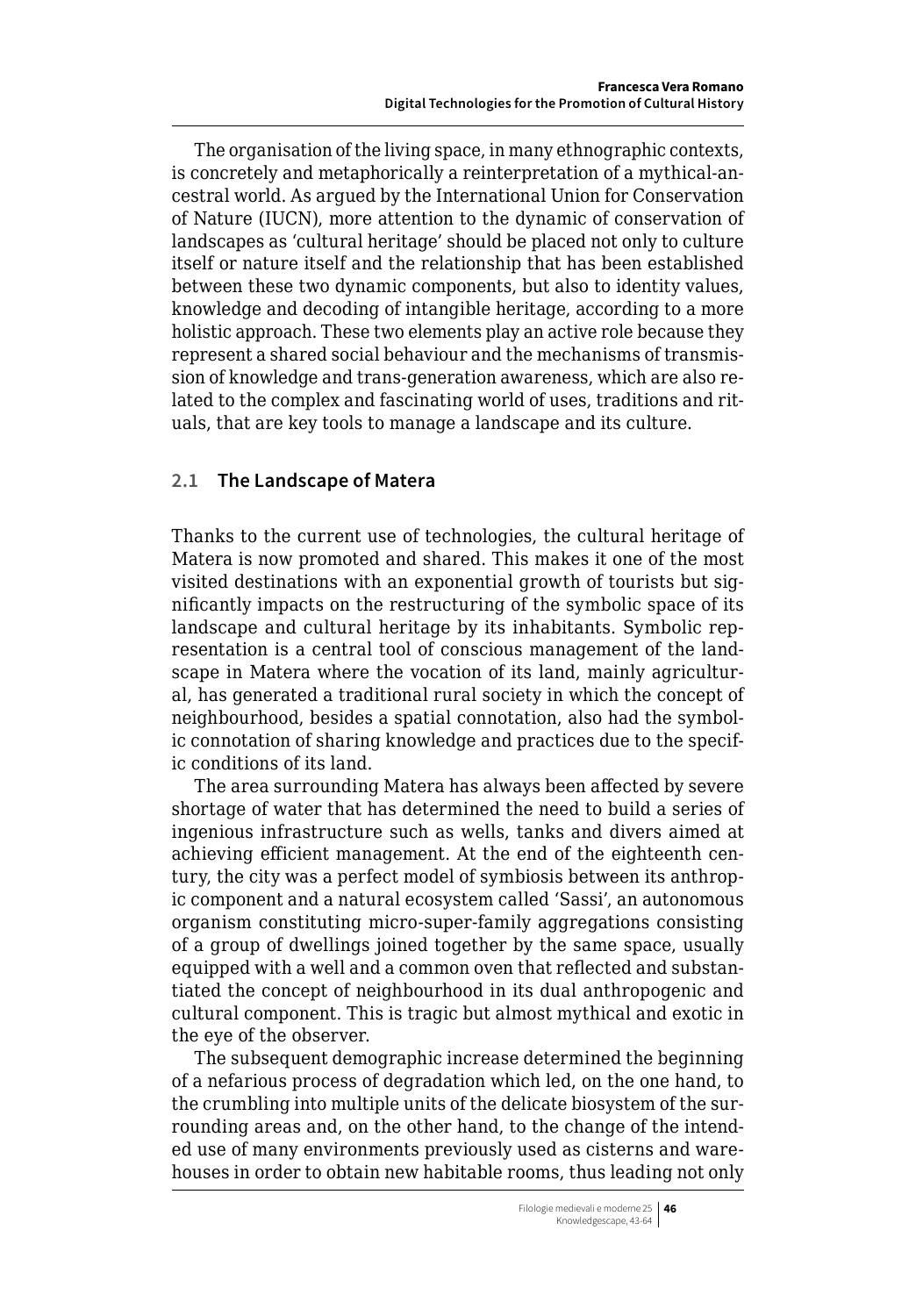The organisation of the living space, in many ethnographic contexts, is concretely and metaphorically a reinterpretation of a mythical-ancestral world. As argued by the International Union for Conservation of Nature (IUCN), more attention to the dynamic of conservation of landscapes as 'cultural heritage' should be placed not only to culture itself or nature itself and the relationship that has been established between these two dynamic components, but also to identity values, knowledge and decoding of intangible heritage, according to a more holistic approach. These two elements play an active role because they represent a shared social behaviour and the mechanisms of transmission of knowledge and trans-generation awareness, which are also related to the complex and fascinating world of uses, traditions and rituals, that are key tools to manage a landscape and its culture.

# **2.1 The Landscape of Matera**

Thanks to the current use of technologies, the cultural heritage of Matera is now promoted and shared. This makes it one of the most visited destinations with an exponential growth of tourists but significantly impacts on the restructuring of the symbolic space of its landscape and cultural heritage by its inhabitants. Symbolic representation is a central tool of conscious management of the landscape in Matera where the vocation of its land, mainly agricultural, has generated a traditional rural society in which the concept of neighbourhood, besides a spatial connotation, also had the symbolic connotation of sharing knowledge and practices due to the specific conditions of its land.

The area surrounding Matera has always been affected by severe shortage of water that has determined the need to build a series of ingenious infrastructure such as wells, tanks and divers aimed at achieving efficient management. At the end of the eighteenth century, the city was a perfect model of symbiosis between its anthropic component and a natural ecosystem called 'Sassi', an autonomous organism constituting micro-super-family aggregations consisting of a group of dwellings joined together by the same space, usually equipped with a well and a common oven that reflected and substantiated the concept of neighbourhood in its dual anthropogenic and cultural component. This is tragic but almost mythical and exotic in the eye of the observer.

The subsequent demographic increase determined the beginning of a nefarious process of degradation which led, on the one hand, to the crumbling into multiple units of the delicate biosystem of the surrounding areas and, on the other hand, to the change of the intended use of many environments previously used as cisterns and warehouses in order to obtain new habitable rooms, thus leading not only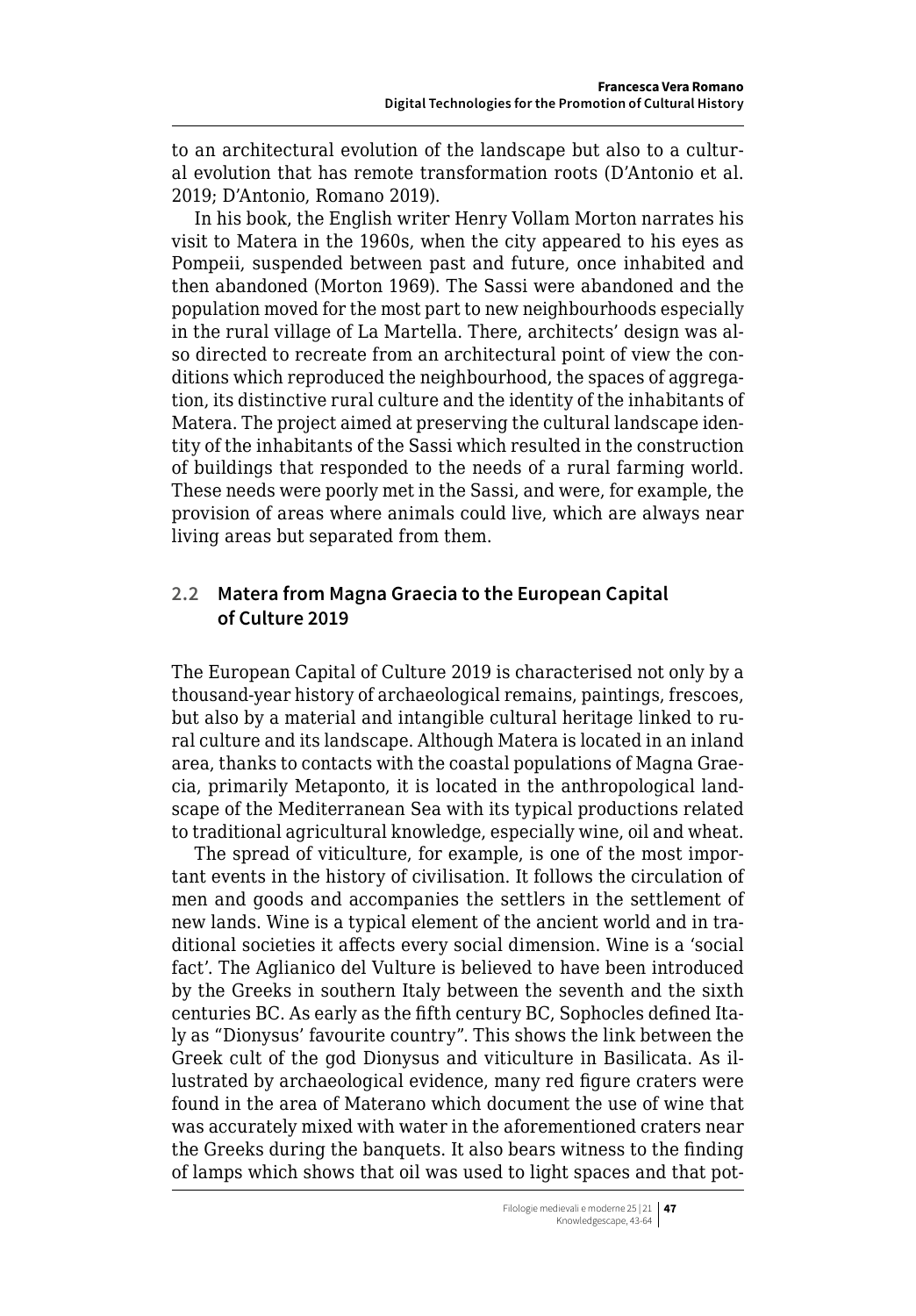to an architectural evolution of the landscape but also to a cultural evolution that has remote transformation roots (D'Antonio et al. 2019; D'Antonio, Romano 2019).

In his book, the English writer Henry Vollam Morton narrates his visit to Matera in the 1960s, when the city appeared to his eyes as Pompeii, suspended between past and future, once inhabited and then abandoned (Morton 1969). The Sassi were abandoned and the population moved for the most part to new neighbourhoods especially in the rural village of La Martella. There, architects' design was also directed to recreate from an architectural point of view the conditions which reproduced the neighbourhood, the spaces of aggregation, its distinctive rural culture and the identity of the inhabitants of Matera. The project aimed at preserving the cultural landscape identity of the inhabitants of the Sassi which resulted in the construction of buildings that responded to the needs of a rural farming world. These needs were poorly met in the Sassi, and were, for example, the provision of areas where animals could live, which are always near living areas but separated from them.

# **2.2 Matera from Magna Graecia to the European Capital of Culture 2019**

The European Capital of Culture 2019 is characterised not only by a thousand-year history of archaeological remains, paintings, frescoes, but also by a material and intangible cultural heritage linked to rural culture and its landscape. Although Matera is located in an inland area, thanks to contacts with the coastal populations of Magna Graecia, primarily Metaponto, it is located in the anthropological landscape of the Mediterranean Sea with its typical productions related to traditional agricultural knowledge, especially wine, oil and wheat.

The spread of viticulture, for example, is one of the most important events in the history of civilisation. It follows the circulation of men and goods and accompanies the settlers in the settlement of new lands. Wine is a typical element of the ancient world and in traditional societies it affects every social dimension. Wine is a 'social fact'. The Aglianico del Vulture is believed to have been introduced by the Greeks in southern Italy between the seventh and the sixth centuries BC. As early as the fifth century BC, Sophocles defined Italy as "Dionysus' favourite country". This shows the link between the Greek cult of the god Dionysus and viticulture in Basilicata. As illustrated by archaeological evidence, many red figure craters were found in the area of Materano which document the use of wine that was accurately mixed with water in the aforementioned craters near the Greeks during the banquets. It also bears witness to the finding of lamps which shows that oil was used to light spaces and that pot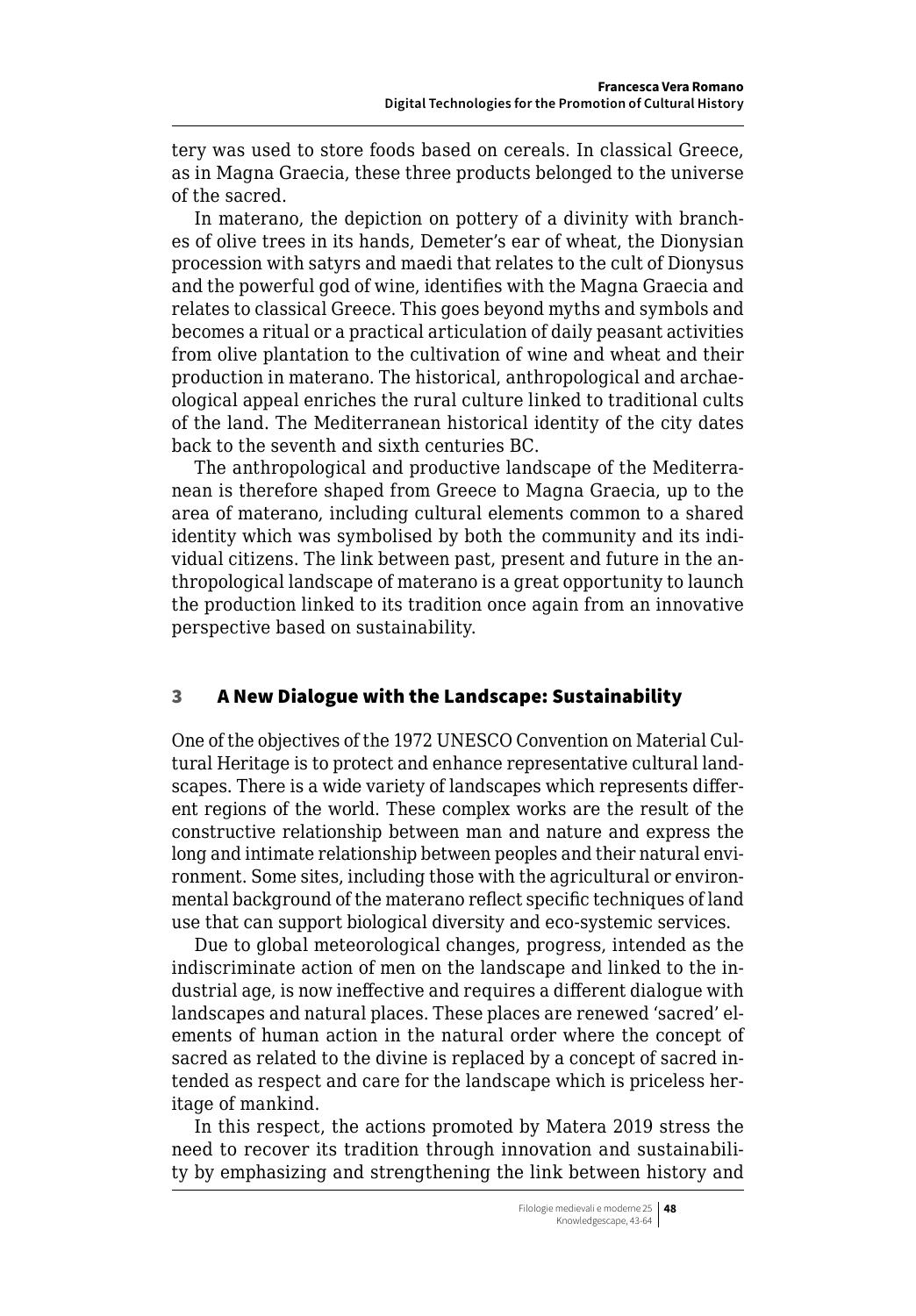tery was used to store foods based on cereals. In classical Greece, as in Magna Graecia, these three products belonged to the universe of the sacred.

In materano, the depiction on pottery of a divinity with branches of olive trees in its hands, Demeter's ear of wheat, the Dionysian procession with satyrs and maedi that relates to the cult of Dionysus and the powerful god of wine, identifies with the Magna Graecia and relates to classical Greece. This goes beyond myths and symbols and becomes a ritual or a practical articulation of daily peasant activities from olive plantation to the cultivation of wine and wheat and their production in materano. The historical, anthropological and archaeological appeal enriches the rural culture linked to traditional cults of the land. The Mediterranean historical identity of the city dates back to the seventh and sixth centuries BC.

The anthropological and productive landscape of the Mediterranean is therefore shaped from Greece to Magna Graecia, up to the area of materano, including cultural elements common to a shared identity which was symbolised by both the community and its individual citizens. The link between past, present and future in the anthropological landscape of materano is a great opportunity to launch the production linked to its tradition once again from an innovative perspective based on sustainability.

# 3 A New Dialogue with the Landscape: Sustainability

One of the objectives of the 1972 UNESCO Convention on Material Cultural Heritage is to protect and enhance representative cultural landscapes. There is a wide variety of landscapes which represents different regions of the world. These complex works are the result of the constructive relationship between man and nature and express the long and intimate relationship between peoples and their natural environment. Some sites, including those with the agricultural or environmental background of the materano reflect specific techniques of land use that can support biological diversity and eco-systemic services.

Due to global meteorological changes, progress, intended as the indiscriminate action of men on the landscape and linked to the industrial age, is now ineffective and requires a different dialogue with landscapes and natural places. These places are renewed 'sacred' elements of human action in the natural order where the concept of sacred as related to the divine is replaced by a concept of sacred intended as respect and care for the landscape which is priceless heritage of mankind.

In this respect, the actions promoted by Matera 2019 stress the need to recover its tradition through innovation and sustainability by emphasizing and strengthening the link between history and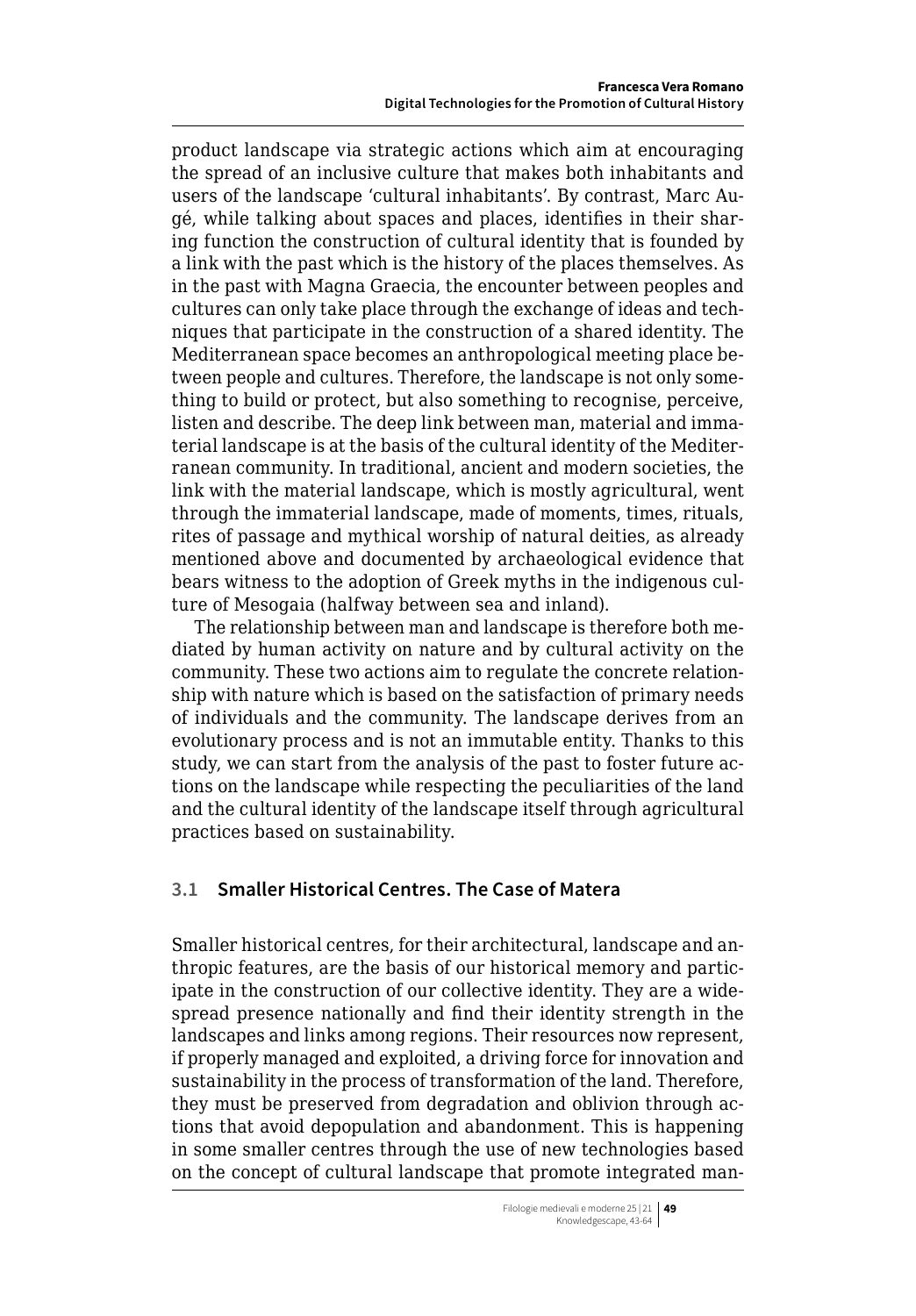product landscape via strategic actions which aim at encouraging the spread of an inclusive culture that makes both inhabitants and users of the landscape 'cultural inhabitants'. By contrast, Marc Augé, while talking about spaces and places, identifies in their sharing function the construction of cultural identity that is founded by a link with the past which is the history of the places themselves. As in the past with Magna Graecia, the encounter between peoples and cultures can only take place through the exchange of ideas and techniques that participate in the construction of a shared identity. The Mediterranean space becomes an anthropological meeting place between people and cultures. Therefore, the landscape is not only something to build or protect, but also something to recognise, perceive, listen and describe. The deep link between man, material and immaterial landscape is at the basis of the cultural identity of the Mediterranean community. In traditional, ancient and modern societies, the link with the material landscape, which is mostly agricultural, went through the immaterial landscape, made of moments, times, rituals, rites of passage and mythical worship of natural deities, as already mentioned above and documented by archaeological evidence that bears witness to the adoption of Greek myths in the indigenous culture of Mesogaia (halfway between sea and inland).

The relationship between man and landscape is therefore both mediated by human activity on nature and by cultural activity on the community. These two actions aim to regulate the concrete relationship with nature which is based on the satisfaction of primary needs of individuals and the community. The landscape derives from an evolutionary process and is not an immutable entity. Thanks to this study, we can start from the analysis of the past to foster future actions on the landscape while respecting the peculiarities of the land and the cultural identity of the landscape itself through agricultural practices based on sustainability.

# **3.1 Smaller Historical Centres. The Case of Matera**

Smaller historical centres, for their architectural, landscape and anthropic features, are the basis of our historical memory and participate in the construction of our collective identity. They are a widespread presence nationally and find their identity strength in the landscapes and links among regions. Their resources now represent, if properly managed and exploited, a driving force for innovation and sustainability in the process of transformation of the land. Therefore, they must be preserved from degradation and oblivion through actions that avoid depopulation and abandonment. This is happening in some smaller centres through the use of new technologies based on the concept of cultural landscape that promote integrated man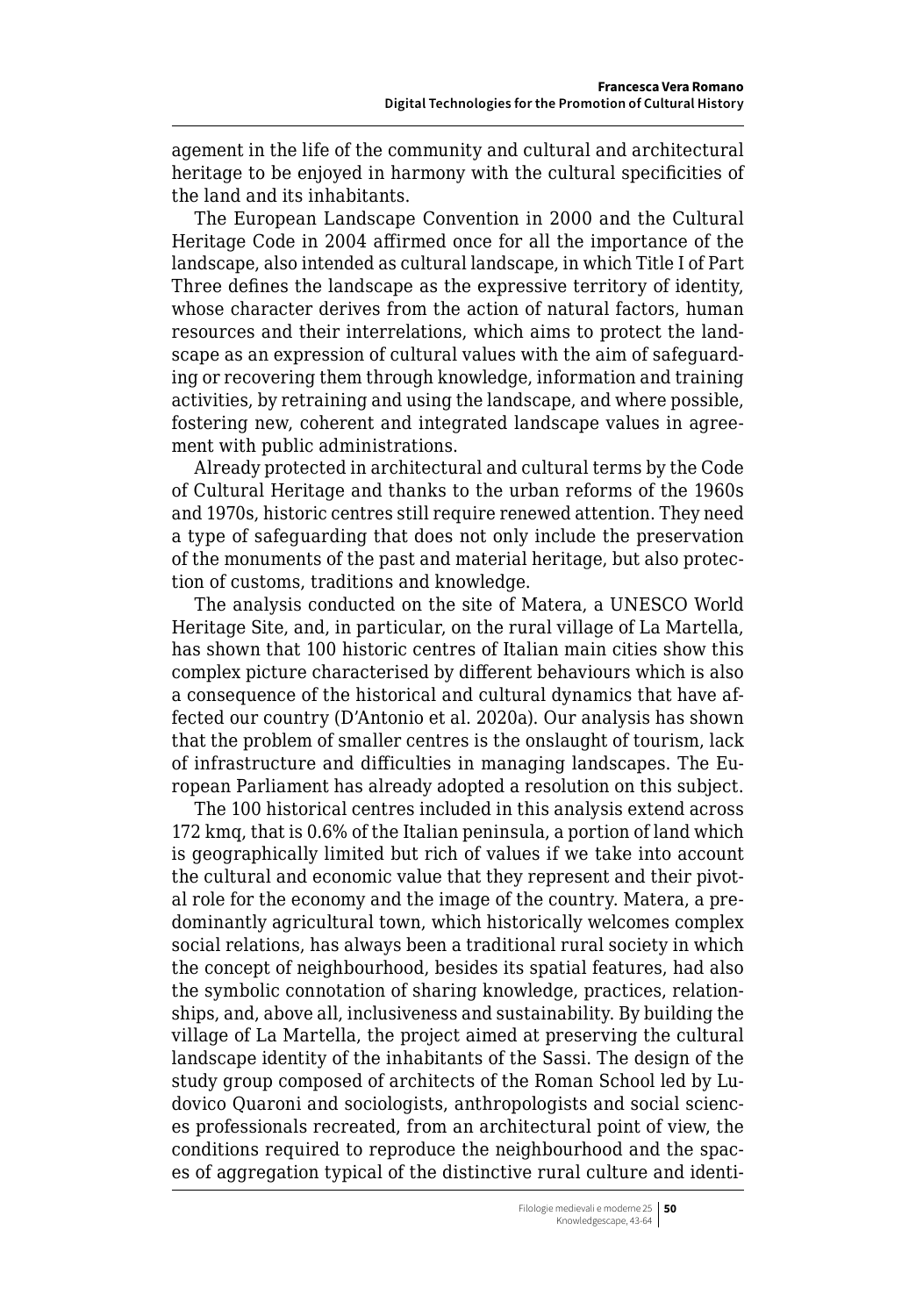agement in the life of the community and cultural and architectural heritage to be enjoyed in harmony with the cultural specificities of the land and its inhabitants.

The European Landscape Convention in 2000 and the Cultural Heritage Code in 2004 affirmed once for all the importance of the landscape, also intended as cultural landscape, in which Title I of Part Three defines the landscape as the expressive territory of identity, whose character derives from the action of natural factors, human resources and their interrelations, which aims to protect the landscape as an expression of cultural values with the aim of safeguarding or recovering them through knowledge, information and training activities, by retraining and using the landscape, and where possible, fostering new, coherent and integrated landscape values in agreement with public administrations.

Already protected in architectural and cultural terms by the Code of Cultural Heritage and thanks to the urban reforms of the 1960s and 1970s, historic centres still require renewed attention. They need a type of safeguarding that does not only include the preservation of the monuments of the past and material heritage, but also protection of customs, traditions and knowledge.

The analysis conducted on the site of Matera, a UNESCO World Heritage Site, and, in particular, on the rural village of La Martella, has shown that 100 historic centres of Italian main cities show this complex picture characterised by different behaviours which is also a consequence of the historical and cultural dynamics that have affected our country (D'Antonio et al. 2020a). Our analysis has shown that the problem of smaller centres is the onslaught of tourism, lack of infrastructure and difficulties in managing landscapes. The European Parliament has already adopted a resolution on this subject.

The 100 historical centres included in this analysis extend across 172 kmq, that is 0.6% of the Italian peninsula, a portion of land which is geographically limited but rich of values if we take into account the cultural and economic value that they represent and their pivotal role for the economy and the image of the country. Matera, a predominantly agricultural town, which historically welcomes complex social relations, has always been a traditional rural society in which the concept of neighbourhood, besides its spatial features, had also the symbolic connotation of sharing knowledge, practices, relationships, and, above all, inclusiveness and sustainability. By building the village of La Martella, the project aimed at preserving the cultural landscape identity of the inhabitants of the Sassi. The design of the study group composed of architects of the Roman School led by Ludovico Quaroni and sociologists, anthropologists and social sciences professionals recreated, from an architectural point of view, the conditions required to reproduce the neighbourhood and the spaces of aggregation typical of the distinctive rural culture and identi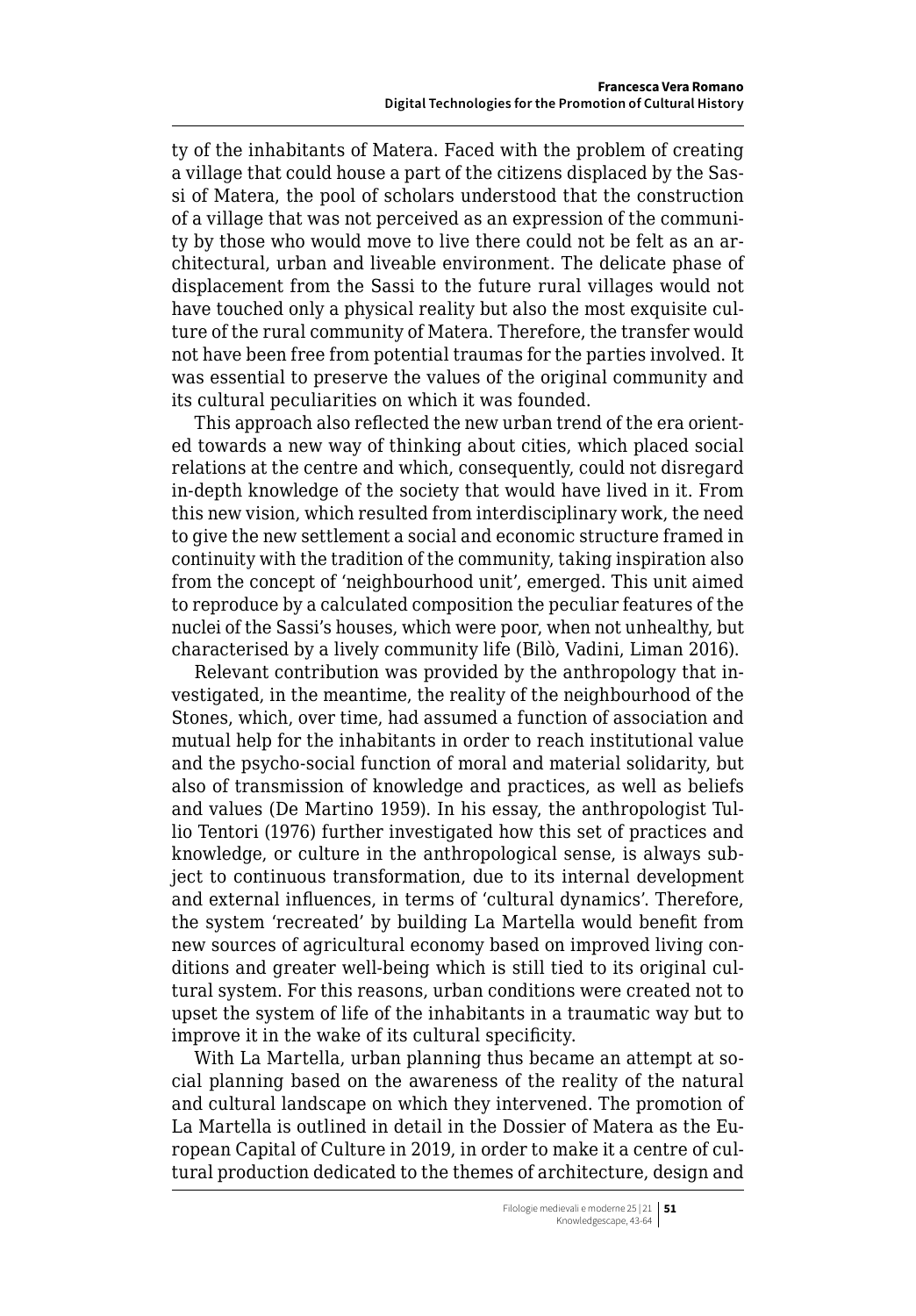ty of the inhabitants of Matera. Faced with the problem of creating a village that could house a part of the citizens displaced by the Sassi of Matera, the pool of scholars understood that the construction of a village that was not perceived as an expression of the community by those who would move to live there could not be felt as an architectural, urban and liveable environment. The delicate phase of displacement from the Sassi to the future rural villages would not have touched only a physical reality but also the most exquisite culture of the rural community of Matera. Therefore, the transfer would not have been free from potential traumas for the parties involved. It was essential to preserve the values of the original community and its cultural peculiarities on which it was founded.

This approach also reflected the new urban trend of the era oriented towards a new way of thinking about cities, which placed social relations at the centre and which, consequently, could not disregard in-depth knowledge of the society that would have lived in it. From this new vision, which resulted from interdisciplinary work, the need to give the new settlement a social and economic structure framed in continuity with the tradition of the community, taking inspiration also from the concept of 'neighbourhood unit', emerged. This unit aimed to reproduce by a calculated composition the peculiar features of the nuclei of the Sassi's houses, which were poor, when not unhealthy, but characterised by a lively community life (Bilò, Vadini, Liman 2016).

Relevant contribution was provided by the anthropology that investigated, in the meantime, the reality of the neighbourhood of the Stones, which, over time, had assumed a function of association and mutual help for the inhabitants in order to reach institutional value and the psycho-social function of moral and material solidarity, but also of transmission of knowledge and practices, as well as beliefs and values (De Martino 1959). In his essay, the anthropologist Tullio Tentori (1976) further investigated how this set of practices and knowledge, or culture in the anthropological sense, is always subject to continuous transformation, due to its internal development and external influences, in terms of 'cultural dynamics'. Therefore, the system 'recreated' by building La Martella would benefit from new sources of agricultural economy based on improved living conditions and greater well-being which is still tied to its original cultural system. For this reasons, urban conditions were created not to upset the system of life of the inhabitants in a traumatic way but to improve it in the wake of its cultural specificity.

With La Martella, urban planning thus became an attempt at social planning based on the awareness of the reality of the natural and cultural landscape on which they intervened. The promotion of La Martella is outlined in detail in the Dossier of Matera as the European Capital of Culture in 2019, in order to make it a centre of cultural production dedicated to the themes of architecture, design and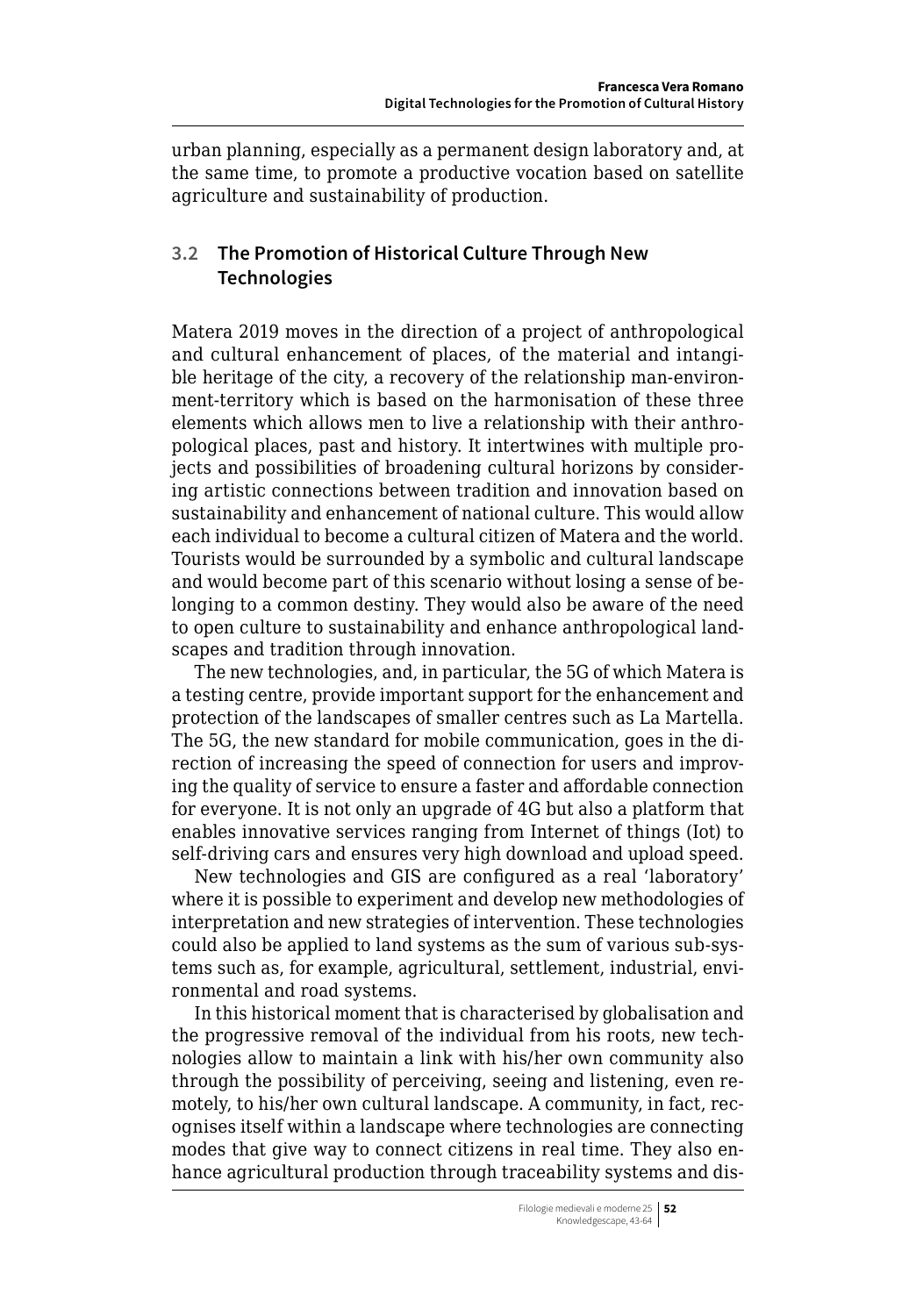urban planning, especially as a permanent design laboratory and, at the same time, to promote a productive vocation based on satellite agriculture and sustainability of production.

# **3.2 The Promotion of Historical Culture Through New Technologies**

Matera 2019 moves in the direction of a project of anthropological and cultural enhancement of places, of the material and intangible heritage of the city, a recovery of the relationship man-environment-territory which is based on the harmonisation of these three elements which allows men to live a relationship with their anthropological places, past and history. It intertwines with multiple projects and possibilities of broadening cultural horizons by considering artistic connections between tradition and innovation based on sustainability and enhancement of national culture. This would allow each individual to become a cultural citizen of Matera and the world. Tourists would be surrounded by a symbolic and cultural landscape and would become part of this scenario without losing a sense of belonging to a common destiny. They would also be aware of the need to open culture to sustainability and enhance anthropological landscapes and tradition through innovation.

The new technologies, and, in particular, the 5G of which Matera is a testing centre, provide important support for the enhancement and protection of the landscapes of smaller centres such as La Martella. The 5G, the new standard for mobile communication, goes in the direction of increasing the speed of connection for users and improving the quality of service to ensure a faster and affordable connection for everyone. It is not only an upgrade of 4G but also a platform that enables innovative services ranging from Internet of things (Iot) to self-driving cars and ensures very high download and upload speed.

New technologies and GIS are configured as a real 'laboratory' where it is possible to experiment and develop new methodologies of interpretation and new strategies of intervention. These technologies could also be applied to land systems as the sum of various sub-systems such as, for example, agricultural, settlement, industrial, environmental and road systems.

In this historical moment that is characterised by globalisation and the progressive removal of the individual from his roots, new technologies allow to maintain a link with his/her own community also through the possibility of perceiving, seeing and listening, even remotely, to his/her own cultural landscape. A community, in fact, recognises itself within a landscape where technologies are connecting modes that give way to connect citizens in real time. They also enhance agricultural production through traceability systems and dis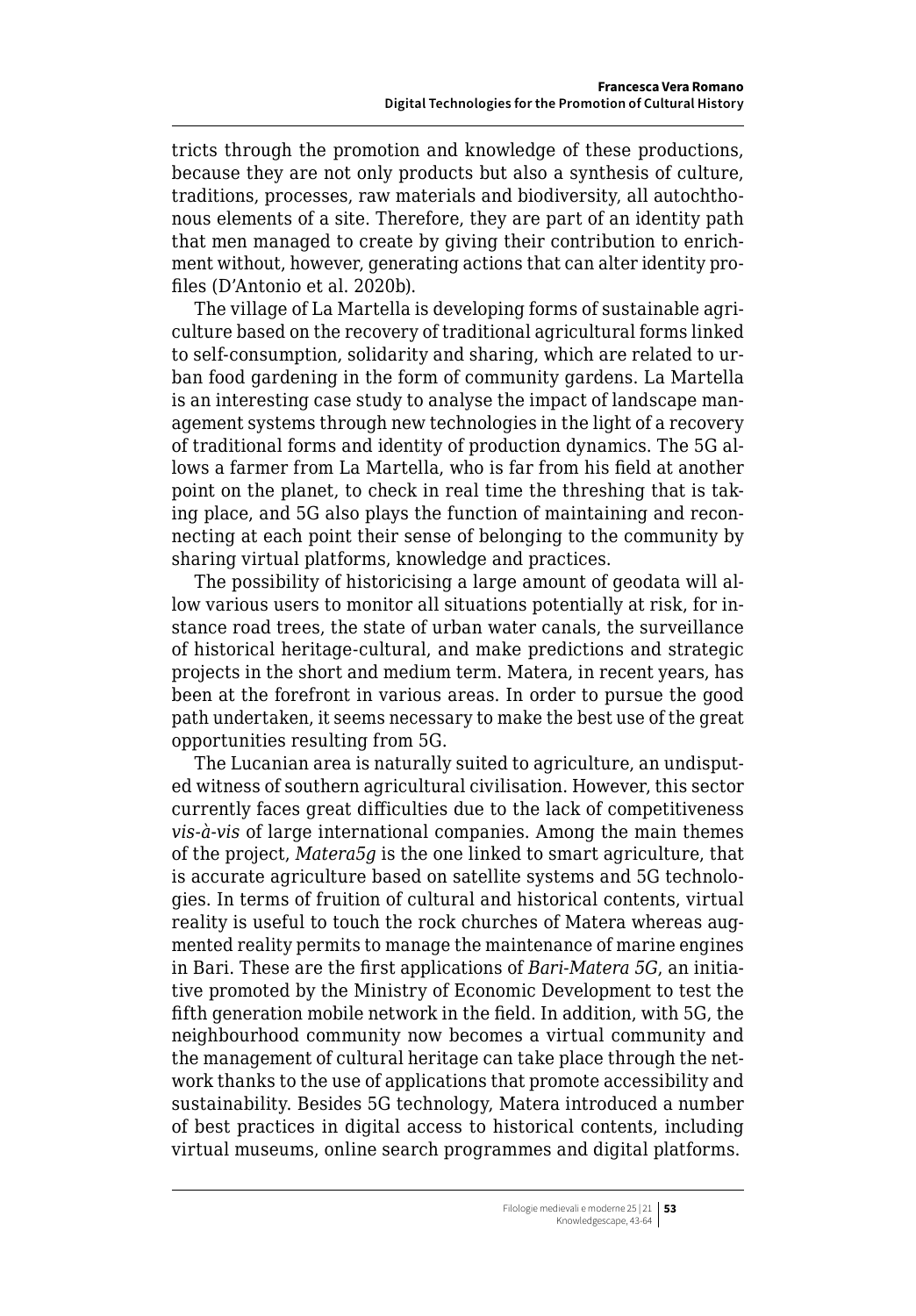tricts through the promotion and knowledge of these productions, because they are not only products but also a synthesis of culture, traditions, processes, raw materials and biodiversity, all autochthonous elements of a site. Therefore, they are part of an identity path that men managed to create by giving their contribution to enrichment without, however, generating actions that can alter identity profiles (D'Antonio et al. 2020b).

The village of La Martella is developing forms of sustainable agriculture based on the recovery of traditional agricultural forms linked to self-consumption, solidarity and sharing, which are related to urban food gardening in the form of community gardens. La Martella is an interesting case study to analyse the impact of landscape management systems through new technologies in the light of a recovery of traditional forms and identity of production dynamics. The 5G allows a farmer from La Martella, who is far from his field at another point on the planet, to check in real time the threshing that is taking place, and 5G also plays the function of maintaining and reconnecting at each point their sense of belonging to the community by sharing virtual platforms, knowledge and practices.

The possibility of historicising a large amount of geodata will allow various users to monitor all situations potentially at risk, for instance road trees, the state of urban water canals, the surveillance of historical heritage-cultural, and make predictions and strategic projects in the short and medium term. Matera, in recent years, has been at the forefront in various areas. In order to pursue the good path undertaken, it seems necessary to make the best use of the great opportunities resulting from 5G.

The Lucanian area is naturally suited to agriculture, an undisputed witness of southern agricultural civilisation. However, this sector currently faces great difficulties due to the lack of competitiveness *vis-à-vis* of large international companies. Among the main themes of the project, *Matera5g* is the one linked to smart agriculture, that is accurate agriculture based on satellite systems and 5G technologies. In terms of fruition of cultural and historical contents, virtual reality is useful to touch the rock churches of Matera whereas augmented reality permits to manage the maintenance of marine engines in Bari. These are the first applications of *Bari-Matera 5G*, an initiative promoted by the Ministry of Economic Development to test the fifth generation mobile network in the field. In addition, with 5G, the neighbourhood community now becomes a virtual community and the management of cultural heritage can take place through the network thanks to the use of applications that promote accessibility and sustainability. Besides 5G technology, Matera introduced a number of best practices in digital access to historical contents, including virtual museums, online search programmes and digital platforms.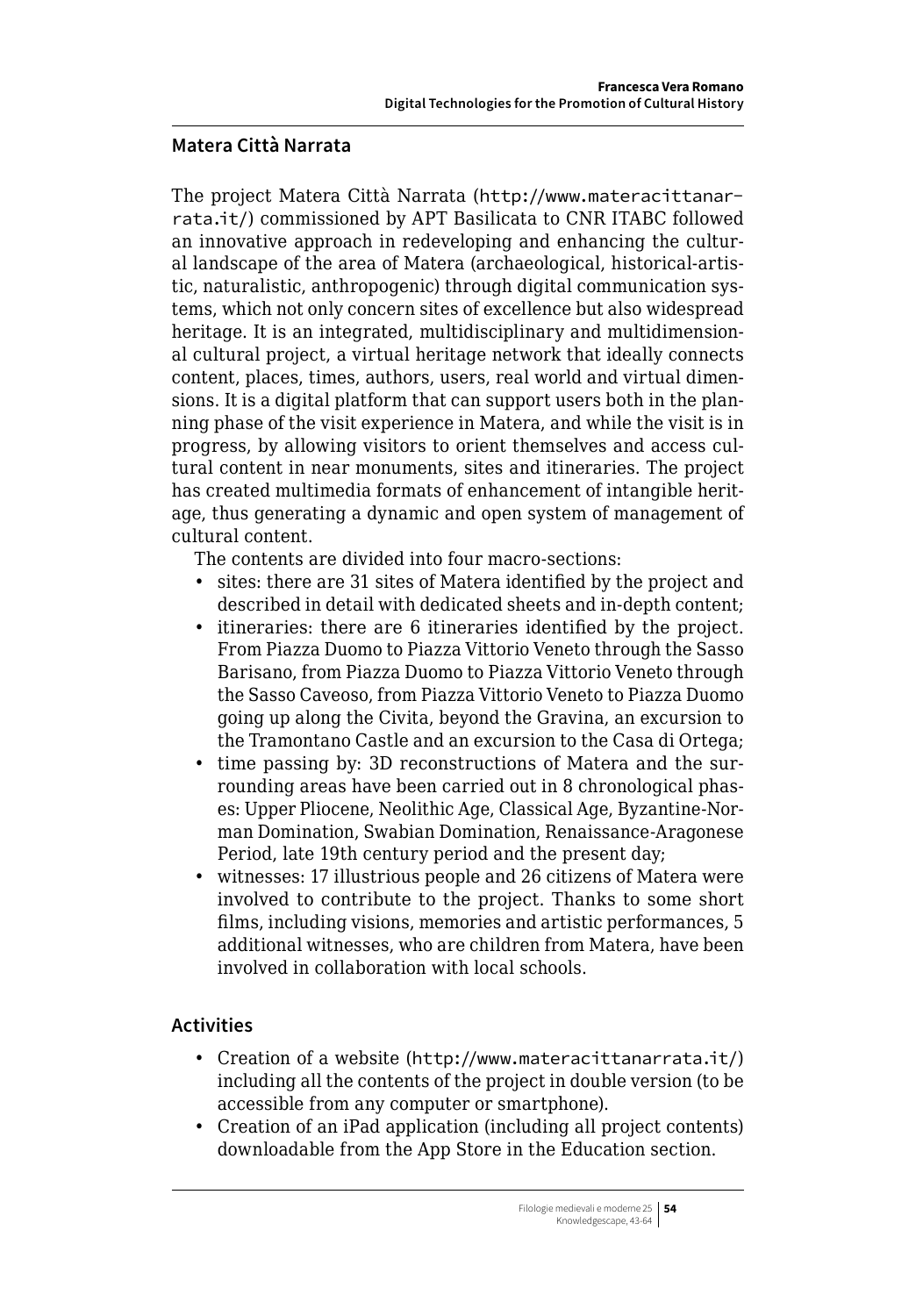#### **Matera Città Narrata**

The project Matera Città Narrata ([http://www.materacittanar](http://www.materacittanarrata.it/)[rata.it/](http://www.materacittanarrata.it/)) commissioned by APT Basilicata to CNR ITABC followed an innovative approach in redeveloping and enhancing the cultural landscape of the area of Matera (archaeological, historical-artistic, naturalistic, anthropogenic) through digital communication systems, which not only concern sites of excellence but also widespread heritage. It is an integrated, multidisciplinary and multidimensional cultural project, a virtual heritage network that ideally connects content, places, times, authors, users, real world and virtual dimensions. It is a digital platform that can support users both in the planning phase of the visit experience in Matera, and while the visit is in progress, by allowing visitors to orient themselves and access cultural content in near monuments, sites and itineraries. The project has created multimedia formats of enhancement of intangible heritage, thus generating a dynamic and open system of management of cultural content.

The contents are divided into four macro-sections:

- sites: there are 31 sites of Matera identified by the project and described in detail with dedicated sheets and in-depth content;
- itineraries: there are 6 itineraries identified by the project. From Piazza Duomo to Piazza Vittorio Veneto through the Sasso Barisano, from Piazza Duomo to Piazza Vittorio Veneto through the Sasso Caveoso, from Piazza Vittorio Veneto to Piazza Duomo going up along the Civita, beyond the Gravina, an excursion to the Tramontano Castle and an excursion to the Casa di Ortega;
- time passing by: 3D reconstructions of Matera and the surrounding areas have been carried out in 8 chronological phases: Upper Pliocene, Neolithic Age, Classical Age, Byzantine-Norman Domination, Swabian Domination, Renaissance-Aragonese Period, late 19th century period and the present day;
- witnesses: 17 illustrious people and 26 citizens of Matera were involved to contribute to the project. Thanks to some short films, including visions, memories and artistic performances, 5 additional witnesses, who are children from Matera, have been involved in collaboration with local schools.

# **Activities**

- Creation of a website (<http://www.materacittanarrata.it/>) including all the contents of the project in double version (to be accessible from any computer or smartphone).
- Creation of an iPad application (including all project contents) downloadable from the App Store in the Education section.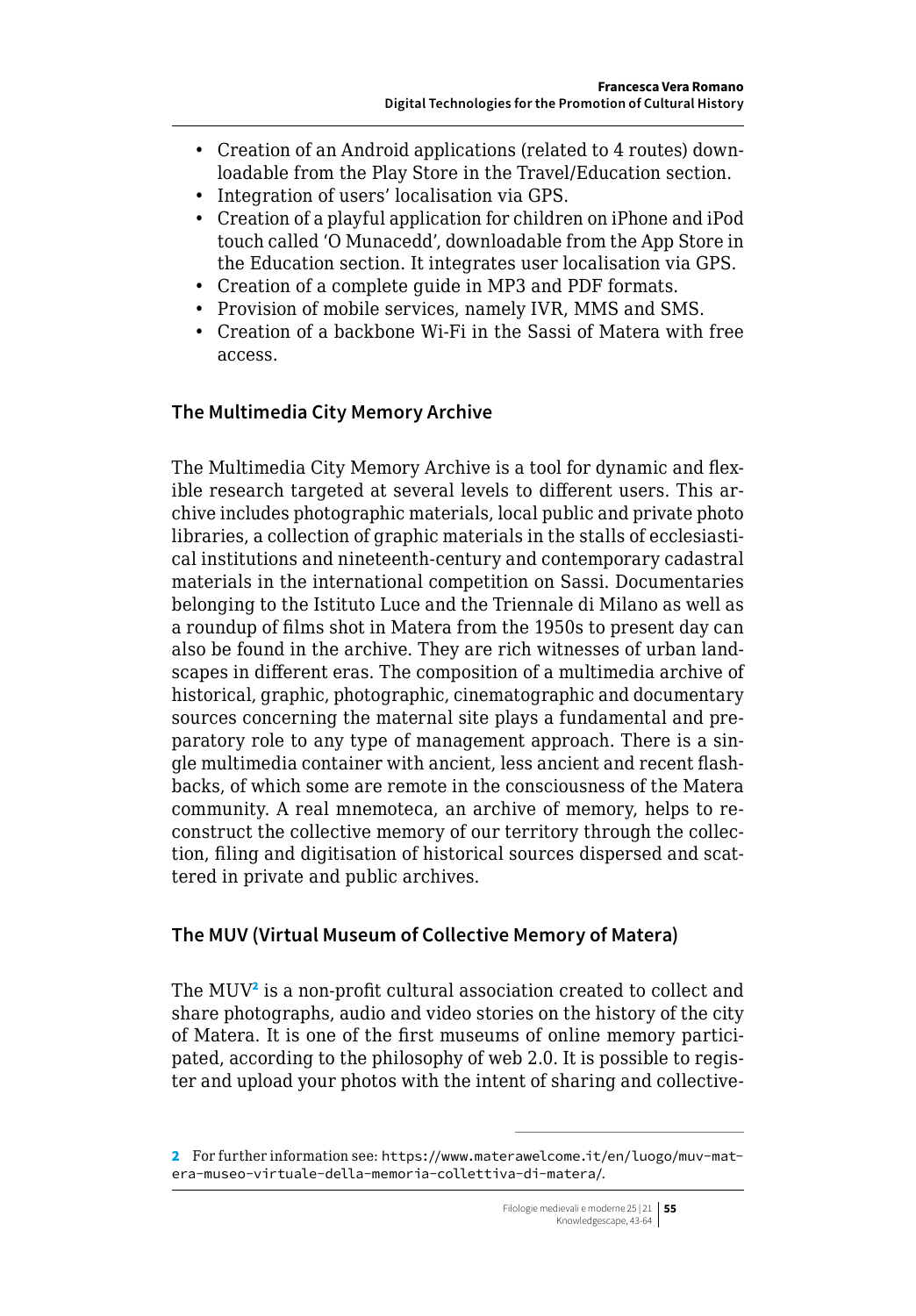- Creation of an Android applications (related to 4 routes) downloadable from the Play Store in the Travel/Education section.
- Integration of users' localisation via GPS.
- Creation of a playful application for children on iPhone and iPod touch called 'O Munacedd', downloadable from the App Store in the Education section. It integrates user localisation via GPS.
- Creation of a complete guide in MP3 and PDF formats.
- Provision of mobile services, namely IVR, MMS and SMS.
- Creation of a backbone Wi-Fi in the Sassi of Matera with free access.

# **The Multimedia City Memory Archive**

The Multimedia City Memory Archive is a tool for dynamic and flexible research targeted at several levels to different users. This archive includes photographic materials, local public and private photo libraries, a collection of graphic materials in the stalls of ecclesiastical institutions and nineteenth-century and contemporary cadastral materials in the international competition on Sassi. Documentaries belonging to the Istituto Luce and the Triennale di Milano as well as a roundup of films shot in Matera from the 1950s to present day can also be found in the archive. They are rich witnesses of urban landscapes in different eras. The composition of a multimedia archive of historical, graphic, photographic, cinematographic and documentary sources concerning the maternal site plays a fundamental and preparatory role to any type of management approach. There is a single multimedia container with ancient, less ancient and recent flashbacks, of which some are remote in the consciousness of the Matera community. A real mnemoteca, an archive of memory, helps to reconstruct the collective memory of our territory through the collection, filing and digitisation of historical sources dispersed and scattered in private and public archives.

# **The MUV (Virtual Museum of Collective Memory of Matera)**

The MUV<sup>2</sup> is a non-profit cultural association created to collect and share photographs, audio and video stories on the history of the city of Matera. It is one of the first museums of online memory participated, according to the philosophy of web 2.0. It is possible to register and upload your photos with the intent of sharing and collective-

<sup>2</sup> For further information see: [https://www.materawelcome.it/en/luogo/muv-mat](https://www.materawelcome.it/en/luogo/muv-matera-museo-virtuale-della-memoria-collettiva-di-matera/)[era-museo-virtuale-della-memoria-collettiva-di-matera/](https://www.materawelcome.it/en/luogo/muv-matera-museo-virtuale-della-memoria-collettiva-di-matera/).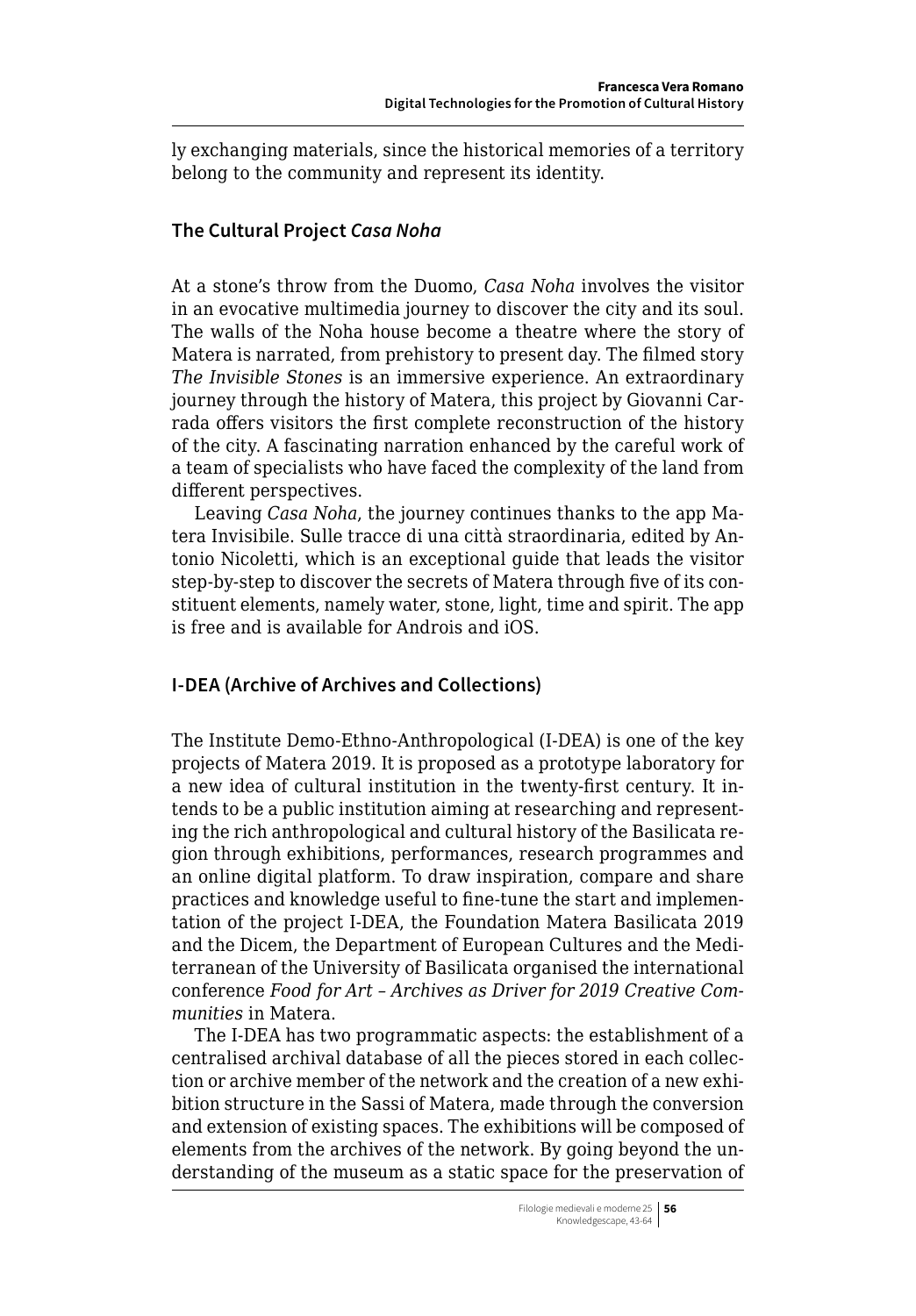ly exchanging materials, since the historical memories of a territory belong to the community and represent its identity.

# **The Cultural Project** *Casa Noha*

At a stone's throw from the Duomo, *Casa Noha* involves the visitor in an evocative multimedia journey to discover the city and its soul. The walls of the Noha house become a theatre where the story of Matera is narrated, from prehistory to present day. The filmed story *The Invisible Stones* is an immersive experience. An extraordinary journey through the history of Matera, this project by Giovanni Carrada offers visitors the first complete reconstruction of the history of the city. A fascinating narration enhanced by the careful work of a team of specialists who have faced the complexity of the land from different perspectives.

Leaving *Casa Noha*, the journey continues thanks to the app Matera Invisibile. Sulle tracce di una città straordinaria, edited by Antonio Nicoletti, which is an exceptional guide that leads the visitor step-by-step to discover the secrets of Matera through five of its constituent elements, namely water, stone, light, time and spirit. The app is free and is available for Androis and iOS.

# **I-DEA (Archive of Archives and Collections)**

The Institute Demo-Ethno-Anthropological (I-DEA) is one of the key projects of Matera 2019. It is proposed as a prototype laboratory for a new idea of cultural institution in the twenty-first century. It intends to be a public institution aiming at researching and representing the rich anthropological and cultural history of the Basilicata region through exhibitions, performances, research programmes and an online digital platform. To draw inspiration, compare and share practices and knowledge useful to fine-tune the start and implementation of the project I-DEA, the Foundation Matera Basilicata 2019 and the Dicem, the Department of European Cultures and the Mediterranean of the University of Basilicata organised the international conference *Food for Art – Archives as Driver for 2019 Creative Communities* in Matera.

The I-DEA has two programmatic aspects: the establishment of a centralised archival database of all the pieces stored in each collection or archive member of the network and the creation of a new exhibition structure in the Sassi of Matera, made through the conversion and extension of existing spaces. The exhibitions will be composed of elements from the archives of the network. By going beyond the understanding of the museum as a static space for the preservation of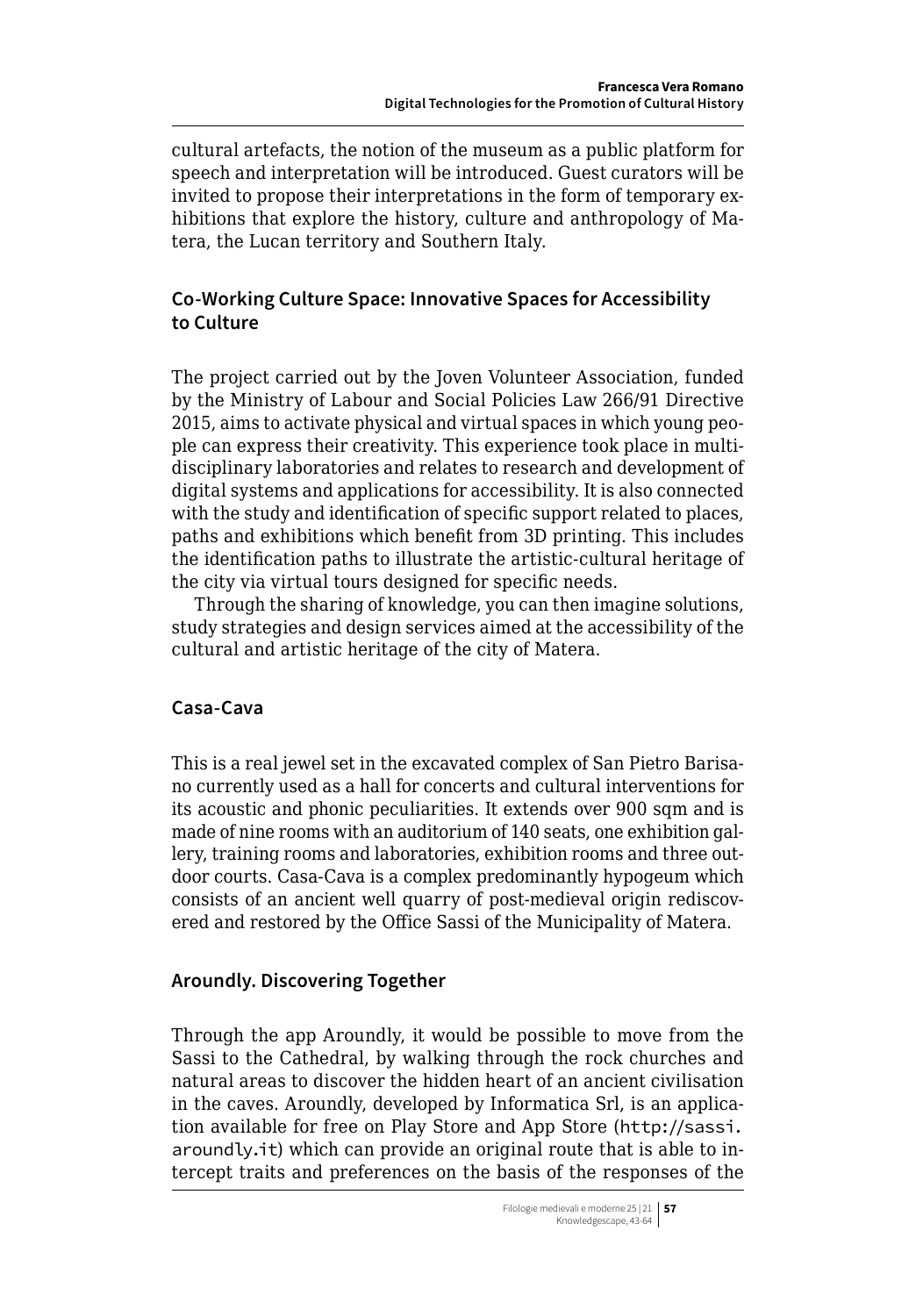cultural artefacts, the notion of the museum as a public platform for speech and interpretation will be introduced. Guest curators will be invited to propose their interpretations in the form of temporary exhibitions that explore the history, culture and anthropology of Matera, the Lucan territory and Southern Italy.

# **Co-Working Culture Space: Innovative Spaces for Accessibility to Culture**

The project carried out by the Joven Volunteer Association, funded by the Ministry of Labour and Social Policies Law 266/91 Directive 2015, aims to activate physical and virtual spaces in which young people can express their creativity. This experience took place in multidisciplinary laboratories and relates to research and development of digital systems and applications for accessibility. It is also connected with the study and identification of specific support related to places, paths and exhibitions which benefit from 3D printing. This includes the identification paths to illustrate the artistic-cultural heritage of the city via virtual tours designed for specific needs.

Through the sharing of knowledge, you can then imagine solutions, study strategies and design services aimed at the accessibility of the cultural and artistic heritage of the city of Matera.

# **Casa-Cava**

This is a real jewel set in the excavated complex of San Pietro Barisano currently used as a hall for concerts and cultural interventions for its acoustic and phonic peculiarities. It extends over 900 sqm and is made of nine rooms with an auditorium of 140 seats, one exhibition gallery, training rooms and laboratories, exhibition rooms and three outdoor courts. Casa-Cava is a complex predominantly hypogeum which consists of an ancient well quarry of post-medieval origin rediscovered and restored by the Office Sassi of the Municipality of Matera.

# **Aroundly. Discovering Together**

Through the app Aroundly, it would be possible to move from the Sassi to the Cathedral, by walking through the rock churches and natural areas to discover the hidden heart of an ancient civilisation in the caves. Aroundly, developed by Informatica Srl, is an application available for free on Play Store and App Store ([http://sassi.](http://sassi.aroundly.it) [aroundly.it](http://sassi.aroundly.it)) which can provide an original route that is able to intercept traits and preferences on the basis of the responses of the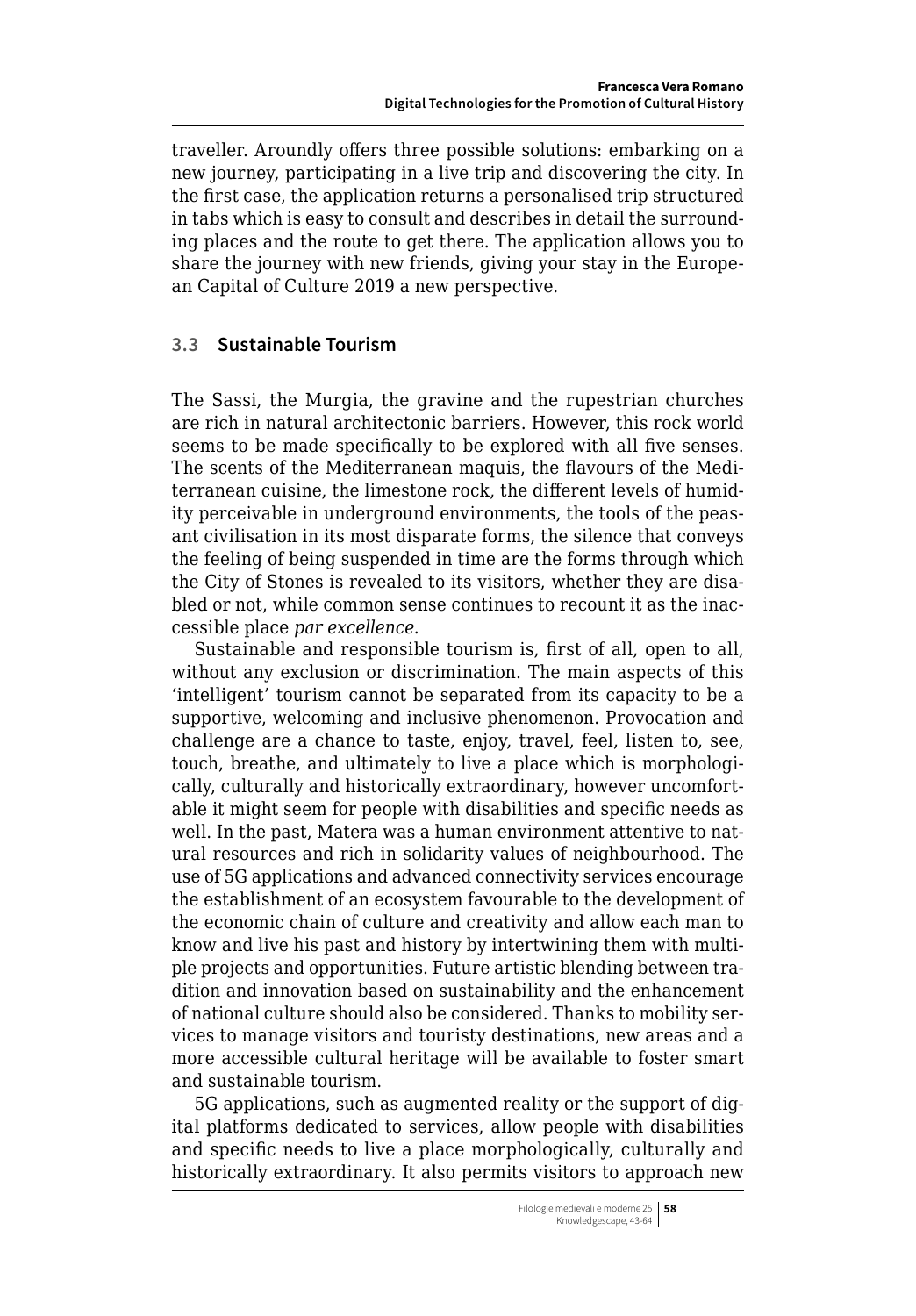traveller. Aroundly offers three possible solutions: embarking on a new journey, participating in a live trip and discovering the city. In the first case, the application returns a personalised trip structured in tabs which is easy to consult and describes in detail the surrounding places and the route to get there. The application allows you to share the journey with new friends, giving your stay in the European Capital of Culture 2019 a new perspective.

# **3.3 Sustainable Tourism**

The Sassi, the Murgia, the gravine and the rupestrian churches are rich in natural architectonic barriers. However, this rock world seems to be made specifically to be explored with all five senses. The scents of the Mediterranean maquis, the flavours of the Mediterranean cuisine, the limestone rock, the different levels of humidity perceivable in underground environments, the tools of the peasant civilisation in its most disparate forms, the silence that conveys the feeling of being suspended in time are the forms through which the City of Stones is revealed to its visitors, whether they are disabled or not, while common sense continues to recount it as the inaccessible place *par excellence*.

Sustainable and responsible tourism is, first of all, open to all, without any exclusion or discrimination. The main aspects of this 'intelligent' tourism cannot be separated from its capacity to be a supportive, welcoming and inclusive phenomenon. Provocation and challenge are a chance to taste, enjoy, travel, feel, listen to, see, touch, breathe, and ultimately to live a place which is morphologically, culturally and historically extraordinary, however uncomfortable it might seem for people with disabilities and specific needs as well. In the past, Matera was a human environment attentive to natural resources and rich in solidarity values of neighbourhood. The use of 5G applications and advanced connectivity services encourage the establishment of an ecosystem favourable to the development of the economic chain of culture and creativity and allow each man to know and live his past and history by intertwining them with multiple projects and opportunities. Future artistic blending between tradition and innovation based on sustainability and the enhancement of national culture should also be considered. Thanks to mobility services to manage visitors and touristy destinations, new areas and a more accessible cultural heritage will be available to foster smart and sustainable tourism.

5G applications, such as augmented reality or the support of digital platforms dedicated to services, allow people with disabilities and specific needs to live a place morphologically, culturally and historically extraordinary. It also permits visitors to approach new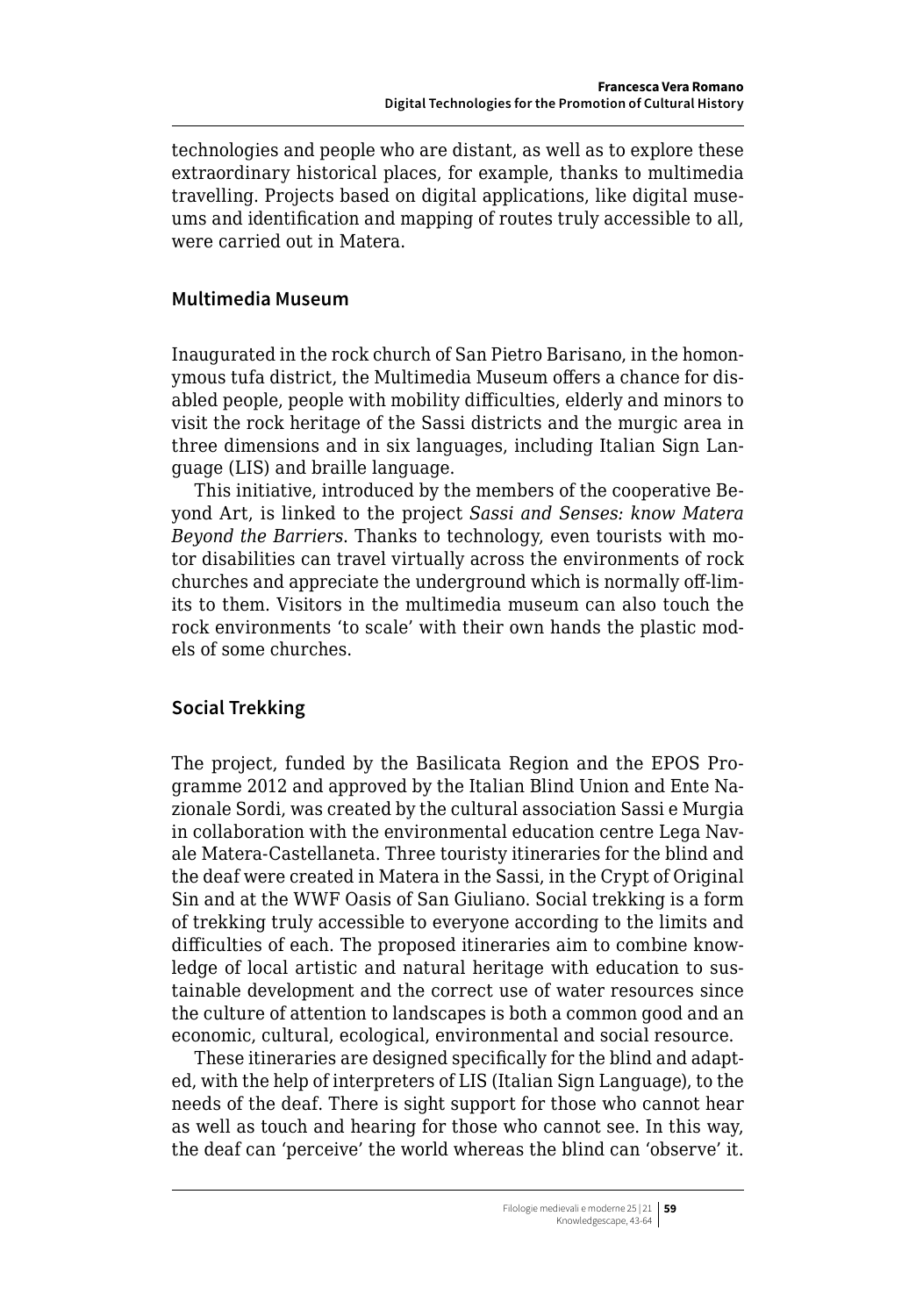technologies and people who are distant, as well as to explore these extraordinary historical places, for example, thanks to multimedia travelling. Projects based on digital applications, like digital museums and identification and mapping of routes truly accessible to all, were carried out in Matera.

#### **Multimedia Museum**

Inaugurated in the rock church of San Pietro Barisano, in the homonymous tufa district, the Multimedia Museum offers a chance for disabled people, people with mobility difficulties, elderly and minors to visit the rock heritage of the Sassi districts and the murgic area in three dimensions and in six languages, including Italian Sign Language (LIS) and braille language.

This initiative, introduced by the members of the cooperative Beyond Art, is linked to the project *Sassi and Senses: know Matera Beyond the Barriers*. Thanks to technology, even tourists with motor disabilities can travel virtually across the environments of rock churches and appreciate the underground which is normally off-limits to them. Visitors in the multimedia museum can also touch the rock environments 'to scale' with their own hands the plastic models of some churches.

# **Social Trekking**

The project, funded by the Basilicata Region and the EPOS Programme 2012 and approved by the Italian Blind Union and Ente Nazionale Sordi, was created by the cultural association Sassi e Murgia in collaboration with the environmental education centre Lega Navale Matera-Castellaneta. Three touristy itineraries for the blind and the deaf were created in Matera in the Sassi, in the Crypt of Original Sin and at the WWF Oasis of San Giuliano. Social trekking is a form of trekking truly accessible to everyone according to the limits and difficulties of each. The proposed itineraries aim to combine knowledge of local artistic and natural heritage with education to sustainable development and the correct use of water resources since the culture of attention to landscapes is both a common good and an economic, cultural, ecological, environmental and social resource.

These itineraries are designed specifically for the blind and adapted, with the help of interpreters of LIS (Italian Sign Language), to the needs of the deaf. There is sight support for those who cannot hear as well as touch and hearing for those who cannot see. In this way, the deaf can 'perceive' the world whereas the blind can 'observe' it.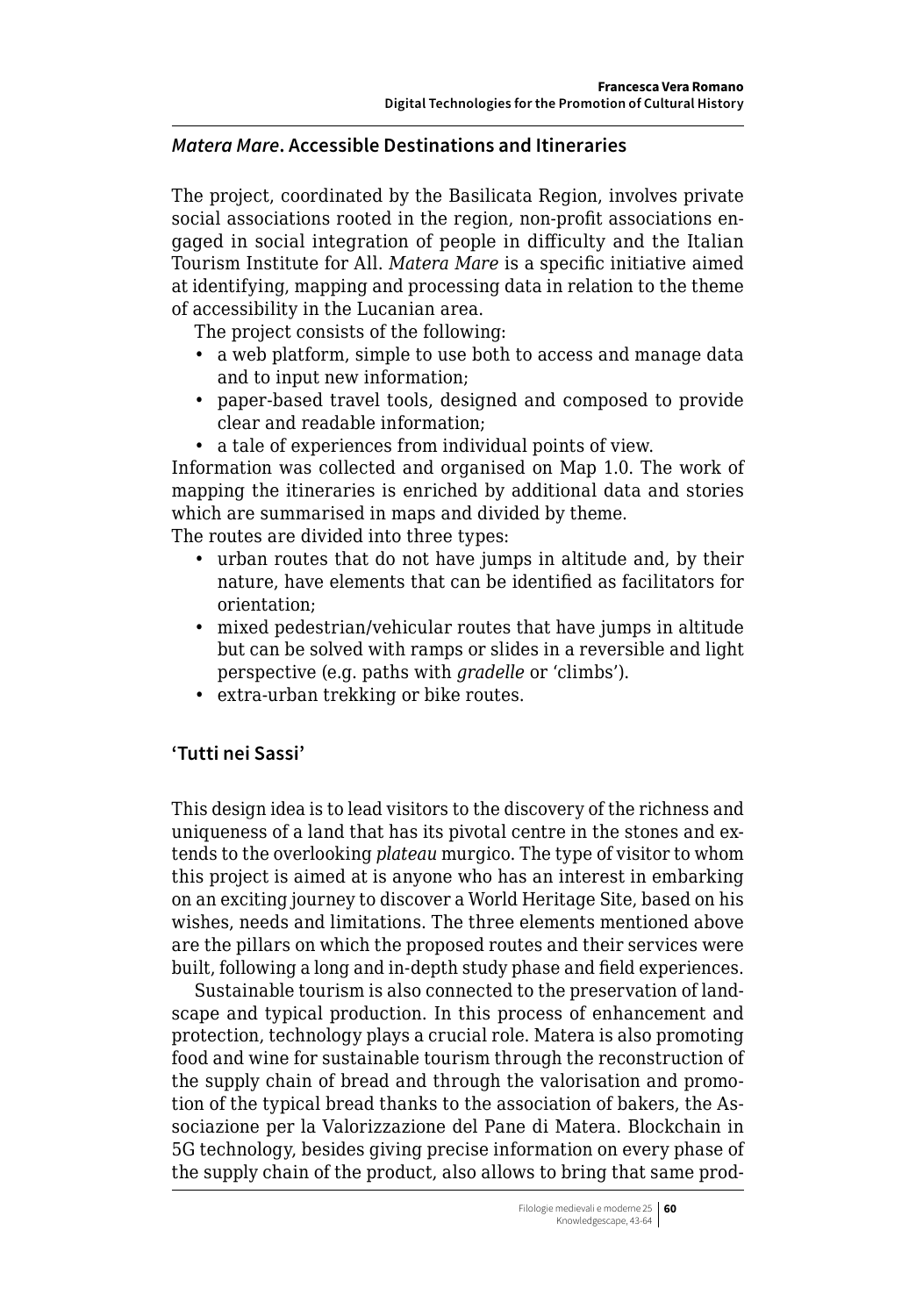#### *Matera Mare***. Accessible Destinations and Itineraries**

The project, coordinated by the Basilicata Region, involves private social associations rooted in the region, non-profit associations engaged in social integration of people in difficulty and the Italian Tourism Institute for All. *Matera Mare* is a specific initiative aimed at identifying, mapping and processing data in relation to the theme of accessibility in the Lucanian area.

The project consists of the following:

- a web platform, simple to use both to access and manage data and to input new information;
- paper-based travel tools, designed and composed to provide clear and readable information;
- a tale of experiences from individual points of view.

Information was collected and organised on Map 1.0. The work of mapping the itineraries is enriched by additional data and stories which are summarised in maps and divided by theme.

The routes are divided into three types:

- urban routes that do not have jumps in altitude and, by their nature, have elements that can be identified as facilitators for orientation;
- mixed pedestrian/vehicular routes that have jumps in altitude but can be solved with ramps or slides in a reversible and light perspective (e.g. paths with *gradelle* or 'climbs').
- extra-urban trekking or bike routes.

# **'Tutti nei Sassi'**

This design idea is to lead visitors to the discovery of the richness and uniqueness of a land that has its pivotal centre in the stones and extends to the overlooking *plateau* murgico. The type of visitor to whom this project is aimed at is anyone who has an interest in embarking on an exciting journey to discover a World Heritage Site, based on his wishes, needs and limitations. The three elements mentioned above are the pillars on which the proposed routes and their services were built, following a long and in-depth study phase and field experiences.

Sustainable tourism is also connected to the preservation of landscape and typical production. In this process of enhancement and protection, technology plays a crucial role. Matera is also promoting food and wine for sustainable tourism through the reconstruction of the supply chain of bread and through the valorisation and promotion of the typical bread thanks to the association of bakers, the Associazione per la Valorizzazione del Pane di Matera. Blockchain in 5G technology, besides giving precise information on every phase of the supply chain of the product, also allows to bring that same prod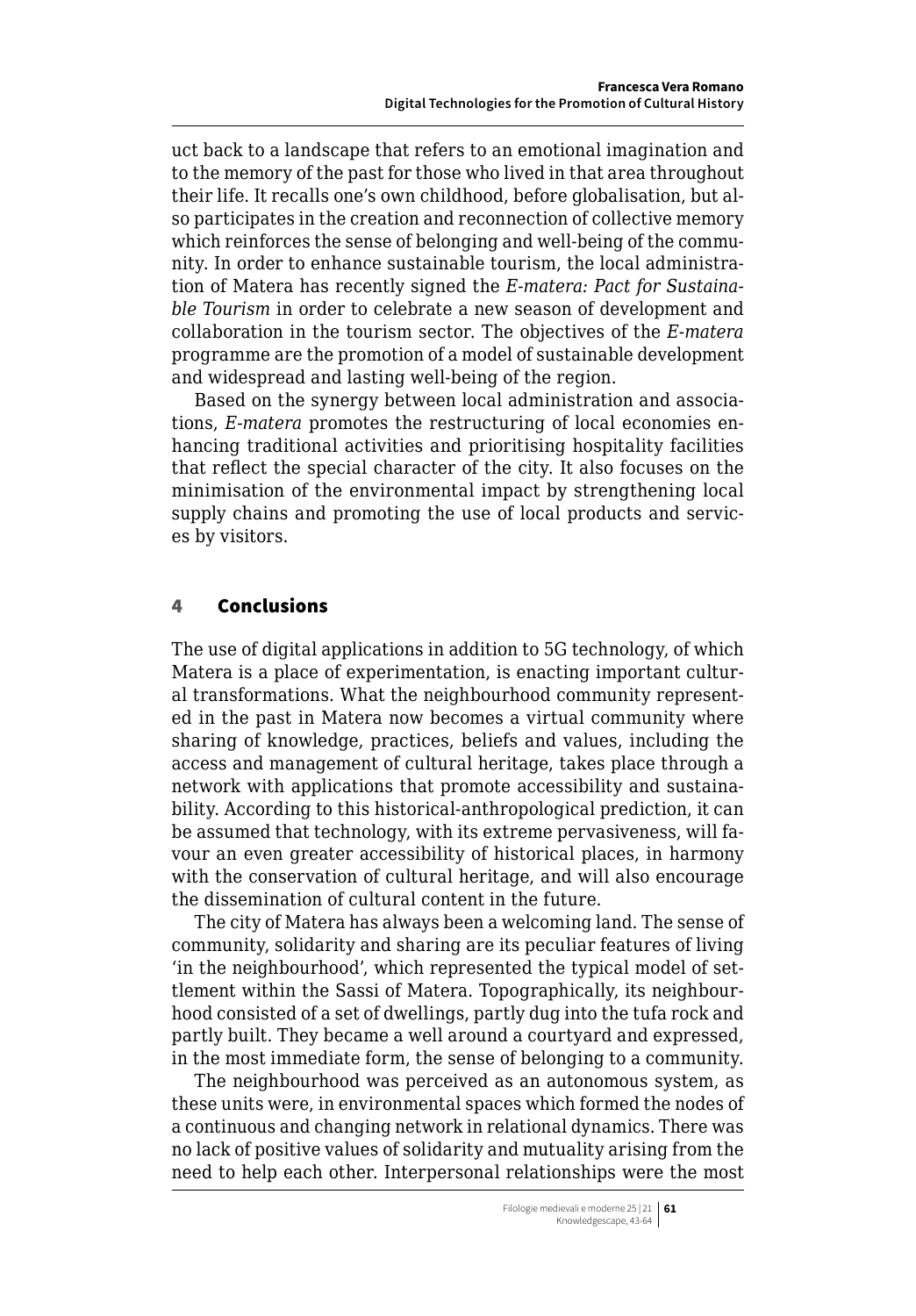uct back to a landscape that refers to an emotional imagination and to the memory of the past for those who lived in that area throughout their life. It recalls one's own childhood, before globalisation, but also participates in the creation and reconnection of collective memory which reinforces the sense of belonging and well-being of the community. In order to enhance sustainable tourism, the local administration of Matera has recently signed the *E-matera: Pact for Sustainable Tourism* in order to celebrate a new season of development and collaboration in the tourism sector. The objectives of the *E-matera* programme are the promotion of a model of sustainable development and widespread and lasting well-being of the region.

Based on the synergy between local administration and associations, *E-matera* promotes the restructuring of local economies enhancing traditional activities and prioritising hospitality facilities that reflect the special character of the city. It also focuses on the minimisation of the environmental impact by strengthening local supply chains and promoting the use of local products and services by visitors.

#### 4 Conclusions

The use of digital applications in addition to 5G technology, of which Matera is a place of experimentation, is enacting important cultural transformations. What the neighbourhood community represented in the past in Matera now becomes a virtual community where sharing of knowledge, practices, beliefs and values, including the access and management of cultural heritage, takes place through a network with applications that promote accessibility and sustainability. According to this historical-anthropological prediction, it can be assumed that technology, with its extreme pervasiveness, will favour an even greater accessibility of historical places, in harmony with the conservation of cultural heritage, and will also encourage the dissemination of cultural content in the future.

The city of Matera has always been a welcoming land. The sense of community, solidarity and sharing are its peculiar features of living 'in the neighbourhood', which represented the typical model of settlement within the Sassi of Matera. Topographically, its neighbourhood consisted of a set of dwellings, partly dug into the tufa rock and partly built. They became a well around a courtyard and expressed, in the most immediate form, the sense of belonging to a community.

The neighbourhood was perceived as an autonomous system, as these units were, in environmental spaces which formed the nodes of a continuous and changing network in relational dynamics. There was no lack of positive values of solidarity and mutuality arising from the need to help each other. Interpersonal relationships were the most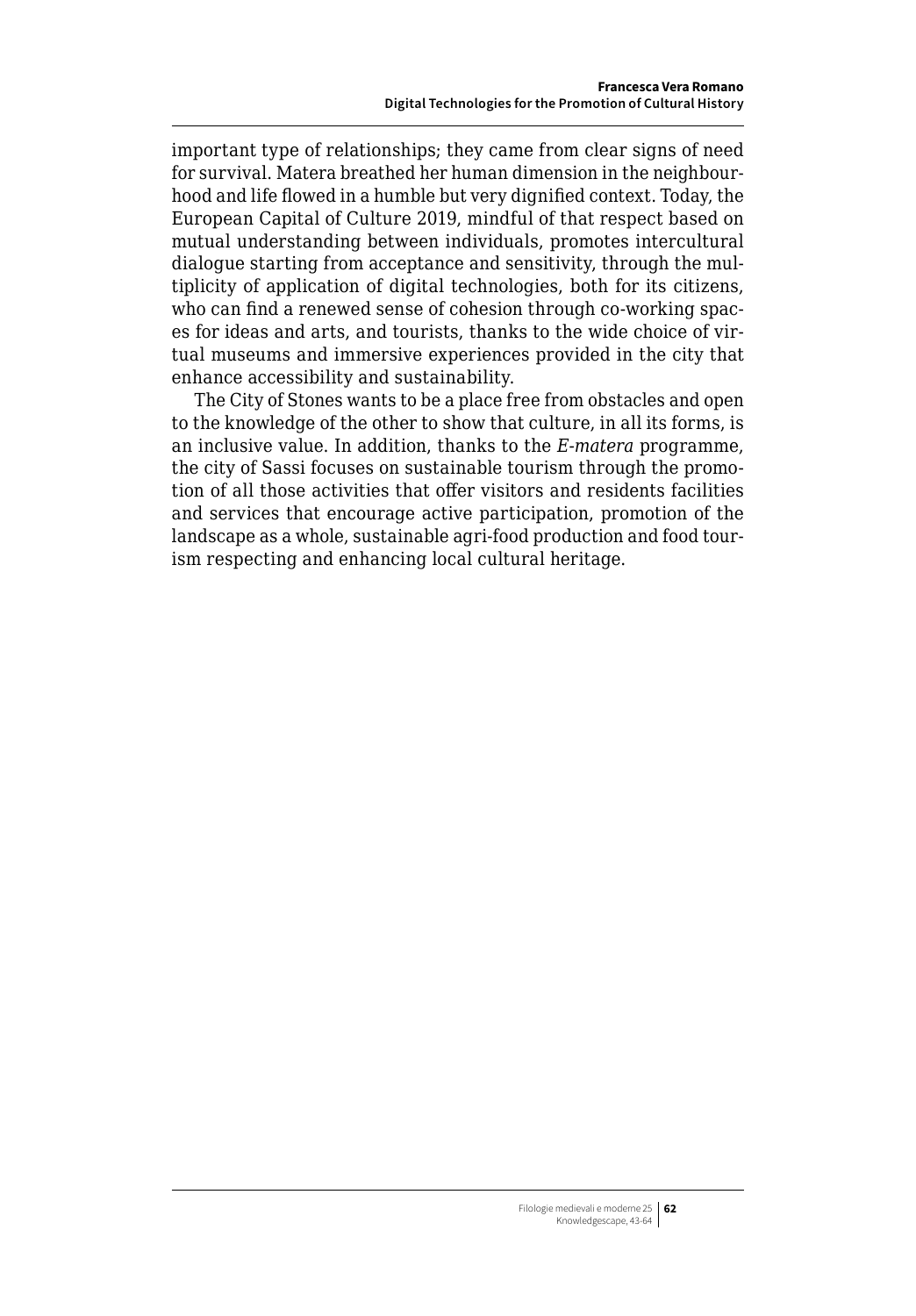important type of relationships; they came from clear signs of need for survival. Matera breathed her human dimension in the neighbourhood and life flowed in a humble but very dignified context. Today, the European Capital of Culture 2019, mindful of that respect based on mutual understanding between individuals, promotes intercultural dialogue starting from acceptance and sensitivity, through the multiplicity of application of digital technologies, both for its citizens, who can find a renewed sense of cohesion through co-working spaces for ideas and arts, and tourists, thanks to the wide choice of virtual museums and immersive experiences provided in the city that enhance accessibility and sustainability.

The City of Stones wants to be a place free from obstacles and open to the knowledge of the other to show that culture, in all its forms, is an inclusive value. In addition, thanks to the *E-matera* programme, the city of Sassi focuses on sustainable tourism through the promotion of all those activities that offer visitors and residents facilities and services that encourage active participation, promotion of the landscape as a whole, sustainable agri-food production and food tourism respecting and enhancing local cultural heritage.